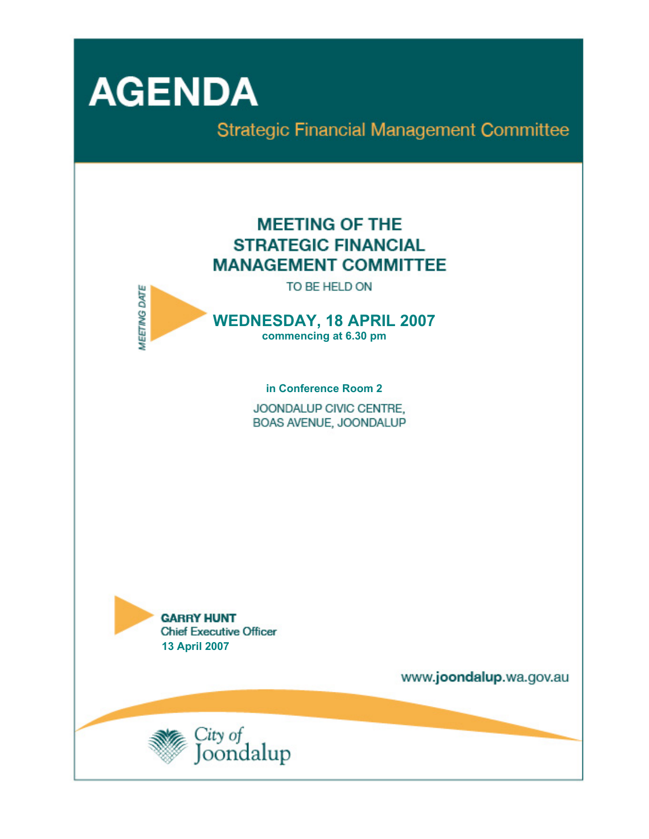

**Strategic Financial Management Committee** 

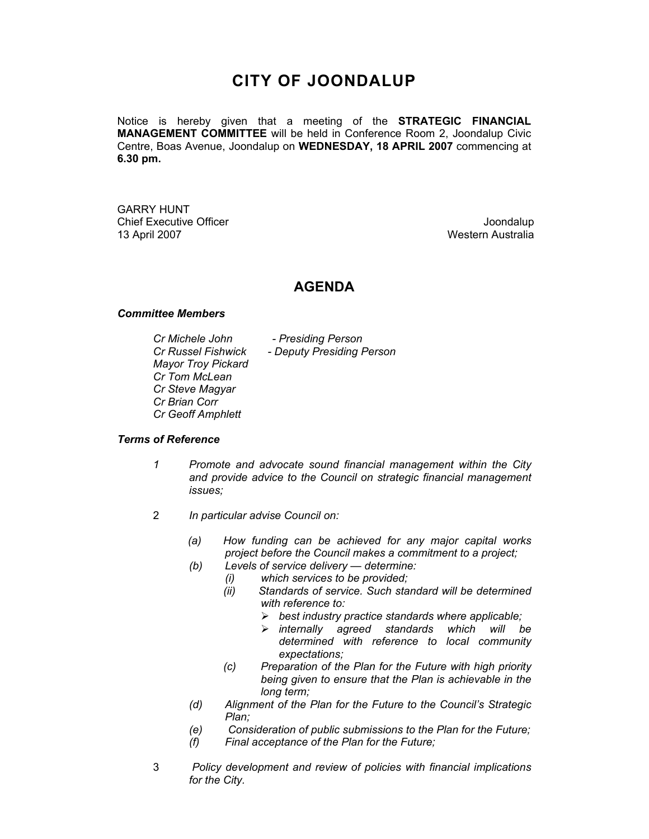# **CITY OF JOONDALUP**

Notice is hereby given that a meeting of the **STRATEGIC FINANCIAL MANAGEMENT COMMITTEE** will be held in Conference Room 2, Joondalup Civic Centre, Boas Avenue, Joondalup on **WEDNESDAY, 18 APRIL 2007** commencing at **6.30 pm.** 

GARRY HUNT Chief Executive Officer  $\Box$  Joondalup Joondalup 13 April 2007 Western Australia

## **AGENDA**

#### *Committee Members*

*Mayor Troy Pickard Cr Tom McLean Cr Steve Magyar Cr Brian Corr Cr Geoff Amphlett* 

*Cr Michele John - Presiding Person Cr Russel Fishwick - Deputy Presiding Person* 

#### *Terms of Reference*

- *1 Promote and advocate sound financial management within the City and provide advice to the Council on strategic financial management issues;*
- 2 *In particular advise Council on:* 
	- *(a) How funding can be achieved for any major capital works project before the Council makes a commitment to a project;*
	- *(b) Levels of service delivery determine:* 
		- *(i) which services to be provided;*
		- *(ii) Standards of service. Such standard will be determined with reference to:* 
			- ¾ *best industry practice standards where applicable;*
			- ¾ *internally agreed standards which will be determined with reference to local community expectations;*
		- *(c) Preparation of the Plan for the Future with high priority being given to ensure that the Plan is achievable in the long term;*
	- *(d) Alignment of the Plan for the Future to the Council's Strategic Plan;*
	- *(e) Consideration of public submissions to the Plan for the Future;*
	- *(f) Final acceptance of the Plan for the Future;*
- 3 *Policy development and review of policies with financial implications for the City.*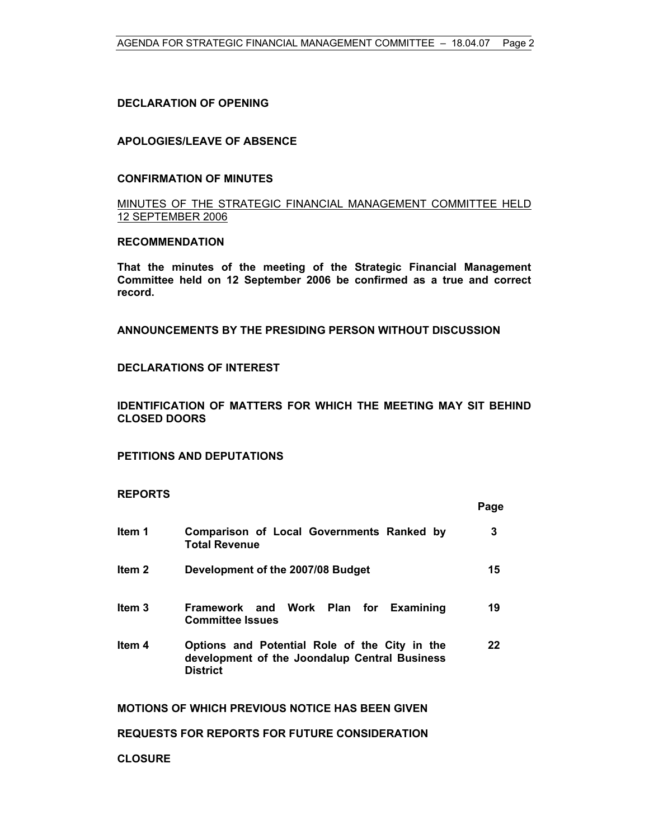#### **DECLARATION OF OPENING**

#### **APOLOGIES/LEAVE OF ABSENCE**

#### **CONFIRMATION OF MINUTES**

MINUTES OF THE STRATEGIC FINANCIAL MANAGEMENT COMMITTEE HELD 12 SEPTEMBER 2006

#### **RECOMMENDATION**

**That the minutes of the meeting of the Strategic Financial Management Committee held on 12 September 2006 be confirmed as a true and correct record.** 

**ANNOUNCEMENTS BY THE PRESIDING PERSON WITHOUT DISCUSSION** 

#### **DECLARATIONS OF INTEREST**

**IDENTIFICATION OF MATTERS FOR WHICH THE MEETING MAY SIT BEHIND CLOSED DOORS** 

#### **PETITIONS AND DEPUTATIONS**

#### **REPORTS**

|        |                                                                                                                   | Page |
|--------|-------------------------------------------------------------------------------------------------------------------|------|
| Item 1 | Comparison of Local Governments Ranked by<br><b>Total Revenue</b>                                                 | 3    |
| ltem 2 | Development of the 2007/08 Budget                                                                                 | 15   |
| Item 3 | Framework and Work Plan for Examining<br><b>Committee Issues</b>                                                  | 19   |
| Item 4 | Options and Potential Role of the City in the<br>development of the Joondalup Central Business<br><b>District</b> | 22   |
|        | <b>MOTIONS OF WHICH PREVIOUS NOTICE HAS BEEN GIVEN</b>                                                            |      |

**REQUESTS FOR REPORTS FOR FUTURE CONSIDERATION** 

**CLOSURE**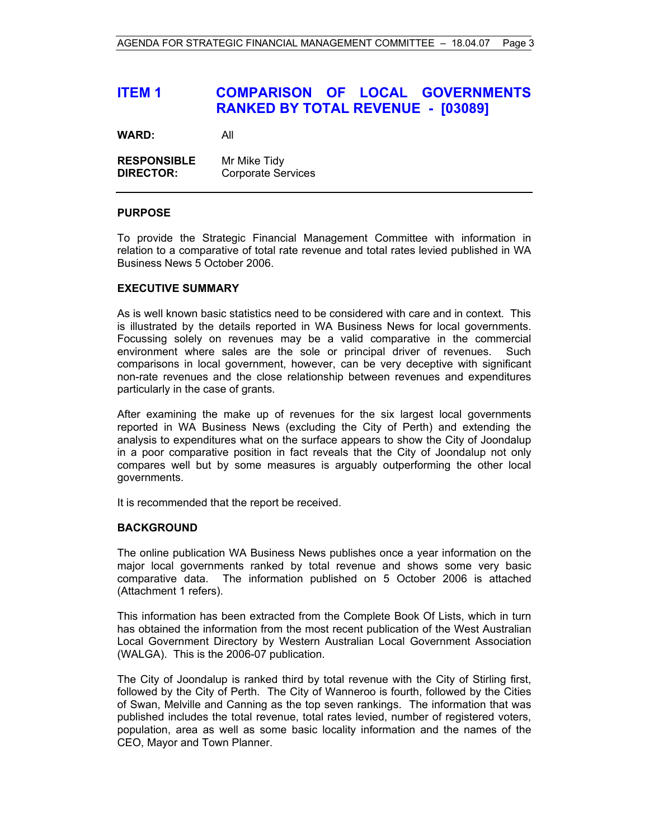## **ITEM 1 COMPARISON OF LOCAL GOVERNMENTS RANKED BY TOTAL REVENUE - [03089]**

**WARD:** All

**RESPONSIBLE** Mr Mike Tidy **DIRECTOR:** Corporate Services

#### **PURPOSE**

To provide the Strategic Financial Management Committee with information in relation to a comparative of total rate revenue and total rates levied published in WA Business News 5 October 2006.

#### **EXECUTIVE SUMMARY**

As is well known basic statistics need to be considered with care and in context. This is illustrated by the details reported in WA Business News for local governments. Focussing solely on revenues may be a valid comparative in the commercial environment where sales are the sole or principal driver of revenues. Such comparisons in local government, however, can be very deceptive with significant non-rate revenues and the close relationship between revenues and expenditures particularly in the case of grants.

After examining the make up of revenues for the six largest local governments reported in WA Business News (excluding the City of Perth) and extending the analysis to expenditures what on the surface appears to show the City of Joondalup in a poor comparative position in fact reveals that the City of Joondalup not only compares well but by some measures is arguably outperforming the other local governments.

It is recommended that the report be received.

#### **BACKGROUND**

The online publication WA Business News publishes once a year information on the major local governments ranked by total revenue and shows some very basic comparative data. The information published on 5 October 2006 is attached (Attachment 1 refers).

This information has been extracted from the Complete Book Of Lists, which in turn has obtained the information from the most recent publication of the West Australian Local Government Directory by Western Australian Local Government Association (WALGA). This is the 2006-07 publication.

The City of Joondalup is ranked third by total revenue with the City of Stirling first, followed by the City of Perth. The City of Wanneroo is fourth, followed by the Cities of Swan, Melville and Canning as the top seven rankings. The information that was published includes the total revenue, total rates levied, number of registered voters, population, area as well as some basic locality information and the names of the CEO, Mayor and Town Planner.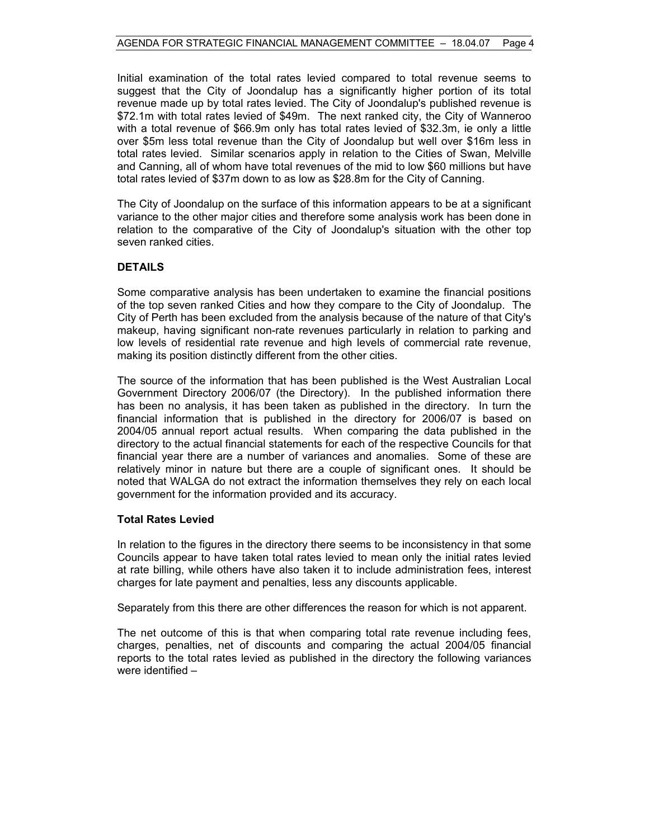Initial examination of the total rates levied compared to total revenue seems to suggest that the City of Joondalup has a significantly higher portion of its total revenue made up by total rates levied. The City of Joondalup's published revenue is \$72.1m with total rates levied of \$49m. The next ranked city, the City of Wanneroo with a total revenue of \$66.9m only has total rates levied of \$32.3m, ie only a little over \$5m less total revenue than the City of Joondalup but well over \$16m less in total rates levied. Similar scenarios apply in relation to the Cities of Swan, Melville and Canning, all of whom have total revenues of the mid to low \$60 millions but have total rates levied of \$37m down to as low as \$28.8m for the City of Canning.

The City of Joondalup on the surface of this information appears to be at a significant variance to the other major cities and therefore some analysis work has been done in relation to the comparative of the City of Joondalup's situation with the other top seven ranked cities.

#### **DETAILS**

Some comparative analysis has been undertaken to examine the financial positions of the top seven ranked Cities and how they compare to the City of Joondalup. The City of Perth has been excluded from the analysis because of the nature of that City's makeup, having significant non-rate revenues particularly in relation to parking and low levels of residential rate revenue and high levels of commercial rate revenue, making its position distinctly different from the other cities.

The source of the information that has been published is the West Australian Local Government Directory 2006/07 (the Directory). In the published information there has been no analysis, it has been taken as published in the directory. In turn the financial information that is published in the directory for 2006/07 is based on 2004/05 annual report actual results. When comparing the data published in the directory to the actual financial statements for each of the respective Councils for that financial year there are a number of variances and anomalies. Some of these are relatively minor in nature but there are a couple of significant ones. It should be noted that WALGA do not extract the information themselves they rely on each local government for the information provided and its accuracy.

#### **Total Rates Levied**

In relation to the figures in the directory there seems to be inconsistency in that some Councils appear to have taken total rates levied to mean only the initial rates levied at rate billing, while others have also taken it to include administration fees, interest charges for late payment and penalties, less any discounts applicable.

Separately from this there are other differences the reason for which is not apparent.

The net outcome of this is that when comparing total rate revenue including fees, charges, penalties, net of discounts and comparing the actual 2004/05 financial reports to the total rates levied as published in the directory the following variances were identified –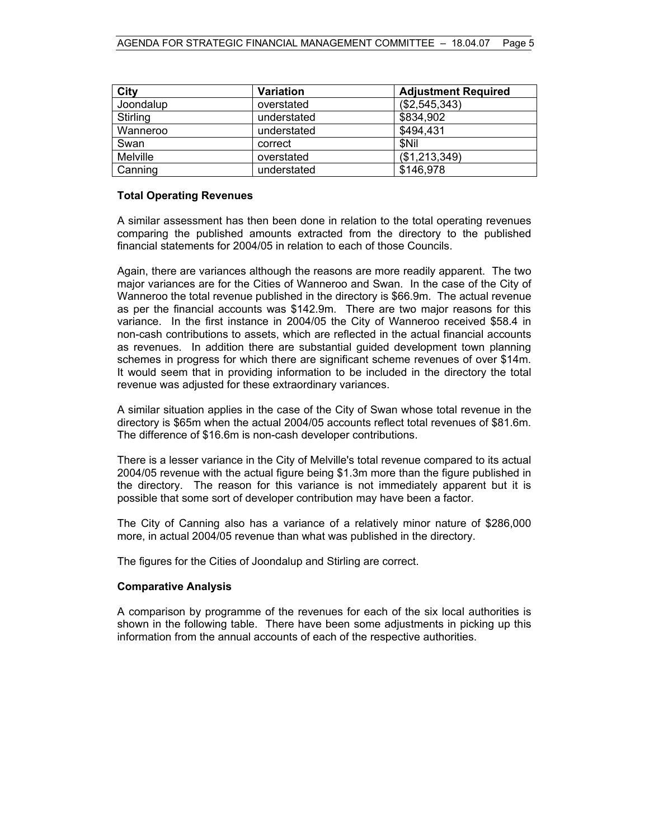| City            | Variation   | <b>Adjustment Required</b> |
|-----------------|-------------|----------------------------|
| Joondalup       | overstated  | (\$2,545,343)              |
| Stirling        | understated | \$834,902                  |
| Wanneroo        | understated | \$494,431                  |
| Swan            | correct     | \$Nil                      |
| <b>Melville</b> | overstated  | (\$1,213,349)              |
| Canning         | understated | \$146,978                  |

#### **Total Operating Revenues**

A similar assessment has then been done in relation to the total operating revenues comparing the published amounts extracted from the directory to the published financial statements for 2004/05 in relation to each of those Councils.

Again, there are variances although the reasons are more readily apparent. The two major variances are for the Cities of Wanneroo and Swan. In the case of the City of Wanneroo the total revenue published in the directory is \$66.9m. The actual revenue as per the financial accounts was \$142.9m. There are two major reasons for this variance. In the first instance in 2004/05 the City of Wanneroo received \$58.4 in non-cash contributions to assets, which are reflected in the actual financial accounts as revenues. In addition there are substantial guided development town planning schemes in progress for which there are significant scheme revenues of over \$14m. It would seem that in providing information to be included in the directory the total revenue was adjusted for these extraordinary variances.

A similar situation applies in the case of the City of Swan whose total revenue in the directory is \$65m when the actual 2004/05 accounts reflect total revenues of \$81.6m. The difference of \$16.6m is non-cash developer contributions.

There is a lesser variance in the City of Melville's total revenue compared to its actual 2004/05 revenue with the actual figure being \$1.3m more than the figure published in the directory. The reason for this variance is not immediately apparent but it is possible that some sort of developer contribution may have been a factor.

The City of Canning also has a variance of a relatively minor nature of \$286,000 more, in actual 2004/05 revenue than what was published in the directory.

The figures for the Cities of Joondalup and Stirling are correct.

#### **Comparative Analysis**

A comparison by programme of the revenues for each of the six local authorities is shown in the following table. There have been some adjustments in picking up this information from the annual accounts of each of the respective authorities.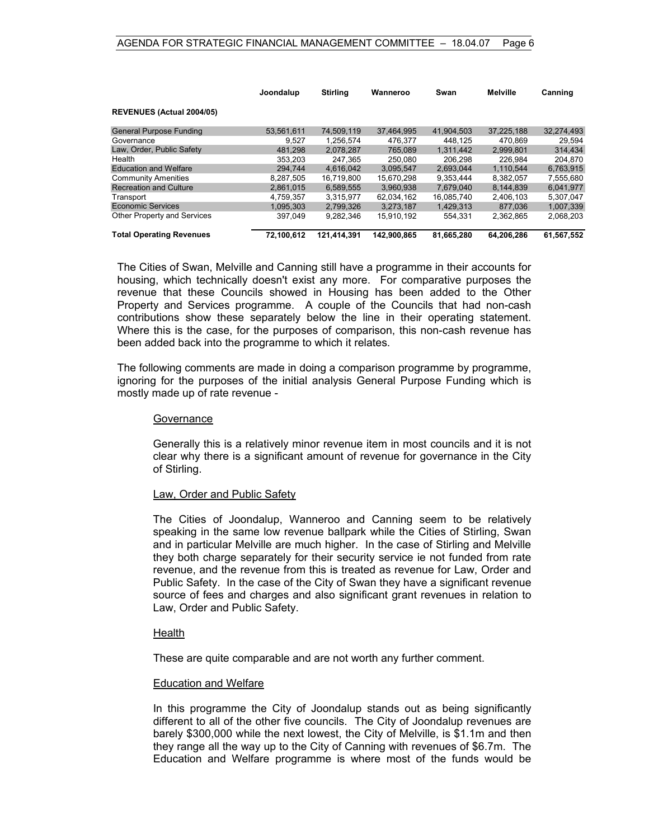|                                    | Joondalup  | <b>Stirling</b> | Wanneroo    | Swan       | <b>Melville</b> | Canning    |
|------------------------------------|------------|-----------------|-------------|------------|-----------------|------------|
| <b>REVENUES (Actual 2004/05)</b>   |            |                 |             |            |                 |            |
| <b>General Purpose Funding</b>     | 53,561,611 | 74.509.119      | 37.464.995  | 41.904.503 | 37.225.188      | 32,274,493 |
| Governance                         | 9.527      | 1.256.574       | 476.377     | 448.125    | 470.869         | 29.594     |
| Law, Order, Public Safety          | 481.298    | 2.078.287       | 765.089     | 1.311.442  | 2.999.801       | 314.434    |
| Health                             | 353,203    | 247.365         | 250.080     | 206.298    | 226.984         | 204,870    |
| <b>Education and Welfare</b>       | 294.744    | 4.616.042       | 3.095.547   | 2.693.044  | 1.110.544       | 6.763.915  |
| <b>Community Amenities</b>         | 8.287.505  | 16.719.800      | 15.670.298  | 9.353.444  | 8.382.057       | 7,555,680  |
| <b>Recreation and Culture</b>      | 2.861.015  | 6.589.555       | 3.960.938   | 7.679.040  | 8.144.839       | 6.041.977  |
| Transport                          | 4,759,357  | 3.315.977       | 62,034,162  | 16,085,740 | 2,406,103       | 5,307,047  |
| <b>Economic Services</b>           | 1.095.303  | 2.799.326       | 3.273.187   | 1.429.313  | 877.036         | 1,007,339  |
| <b>Other Property and Services</b> | 397.049    | 9.282.346       | 15.910.192  | 554.331    | 2.362.865       | 2,068,203  |
| <b>Total Operating Revenues</b>    | 72.100.612 | 121.414.391     | 142.900.865 | 81.665.280 | 64.206.286      | 61,567,552 |

The Cities of Swan, Melville and Canning still have a programme in their accounts for housing, which technically doesn't exist any more. For comparative purposes the revenue that these Councils showed in Housing has been added to the Other Property and Services programme. A couple of the Councils that had non-cash contributions show these separately below the line in their operating statement. Where this is the case, for the purposes of comparison, this non-cash revenue has been added back into the programme to which it relates.

The following comments are made in doing a comparison programme by programme, ignoring for the purposes of the initial analysis General Purpose Funding which is mostly made up of rate revenue -

#### Governance

Generally this is a relatively minor revenue item in most councils and it is not clear why there is a significant amount of revenue for governance in the City of Stirling.

#### Law, Order and Public Safety

The Cities of Joondalup, Wanneroo and Canning seem to be relatively speaking in the same low revenue ballpark while the Cities of Stirling, Swan and in particular Melville are much higher. In the case of Stirling and Melville they both charge separately for their security service ie not funded from rate revenue, and the revenue from this is treated as revenue for Law, Order and Public Safety. In the case of the City of Swan they have a significant revenue source of fees and charges and also significant grant revenues in relation to Law, Order and Public Safety.

#### **Health**

These are quite comparable and are not worth any further comment.

#### Education and Welfare

In this programme the City of Joondalup stands out as being significantly different to all of the other five councils. The City of Joondalup revenues are barely \$300,000 while the next lowest, the City of Melville, is \$1.1m and then they range all the way up to the City of Canning with revenues of \$6.7m. The Education and Welfare programme is where most of the funds would be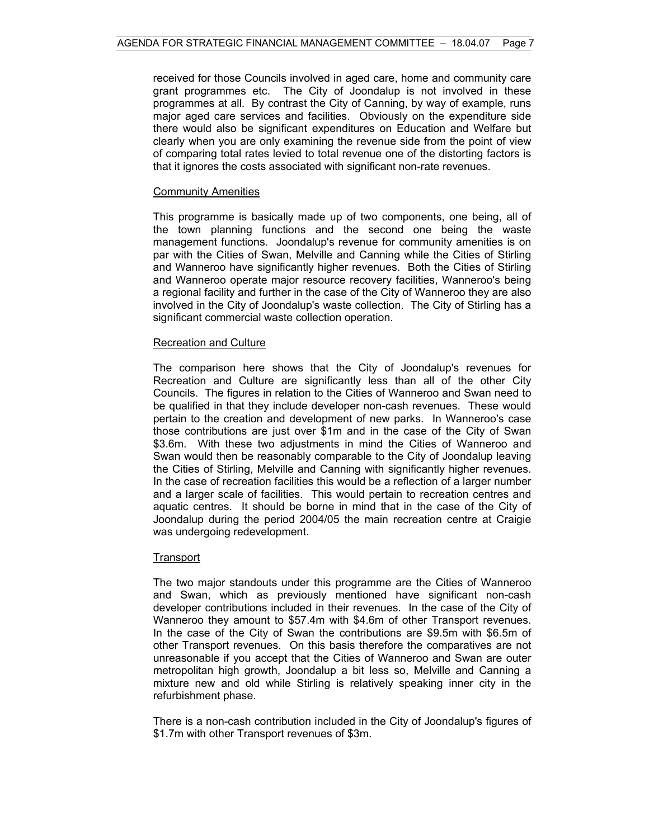received for those Councils involved in aged care, home and community care grant programmes etc. The City of Joondalup is not involved in these programmes at all. By contrast the City of Canning, by way of example, runs major aged care services and facilities. Obviously on the expenditure side there would also be significant expenditures on Education and Welfare but clearly when you are only examining the revenue side from the point of view of comparing total rates levied to total revenue one of the distorting factors is that it ignores the costs associated with significant non-rate revenues.

#### Community Amenities

This programme is basically made up of two components, one being, all of the town planning functions and the second one being the waste management functions. Joondalup's revenue for community amenities is on par with the Cities of Swan, Melville and Canning while the Cities of Stirling and Wanneroo have significantly higher revenues. Both the Cities of Stirling and Wanneroo operate major resource recovery facilities, Wanneroo's being a regional facility and further in the case of the City of Wanneroo they are also involved in the City of Joondalup's waste collection. The City of Stirling has a significant commercial waste collection operation.

#### Recreation and Culture

The comparison here shows that the City of Joondalup's revenues for Recreation and Culture are significantly less than all of the other City Councils. The figures in relation to the Cities of Wanneroo and Swan need to be qualified in that they include developer non-cash revenues. These would pertain to the creation and development of new parks. In Wanneroo's case those contributions are just over \$1m and in the case of the City of Swan \$3.6m. With these two adjustments in mind the Cities of Wanneroo and Swan would then be reasonably comparable to the City of Joondalup leaving the Cities of Stirling, Melville and Canning with significantly higher revenues. In the case of recreation facilities this would be a reflection of a larger number and a larger scale of facilities. This would pertain to recreation centres and aquatic centres. It should be borne in mind that in the case of the City of Joondalup during the period 2004/05 the main recreation centre at Craigie was undergoing redevelopment.

#### **Transport**

The two major standouts under this programme are the Cities of Wanneroo and Swan, which as previously mentioned have significant non-cash developer contributions included in their revenues. In the case of the City of Wanneroo they amount to \$57.4m with \$4.6m of other Transport revenues. In the case of the City of Swan the contributions are \$9.5m with \$6.5m of other Transport revenues. On this basis therefore the comparatives are not unreasonable if you accept that the Cities of Wanneroo and Swan are outer metropolitan high growth, Joondalup a bit less so, Melville and Canning a mixture new and old while Stirling is relatively speaking inner city in the refurbishment phase.

There is a non-cash contribution included in the City of Joondalup's figures of \$1.7m with other Transport revenues of \$3m.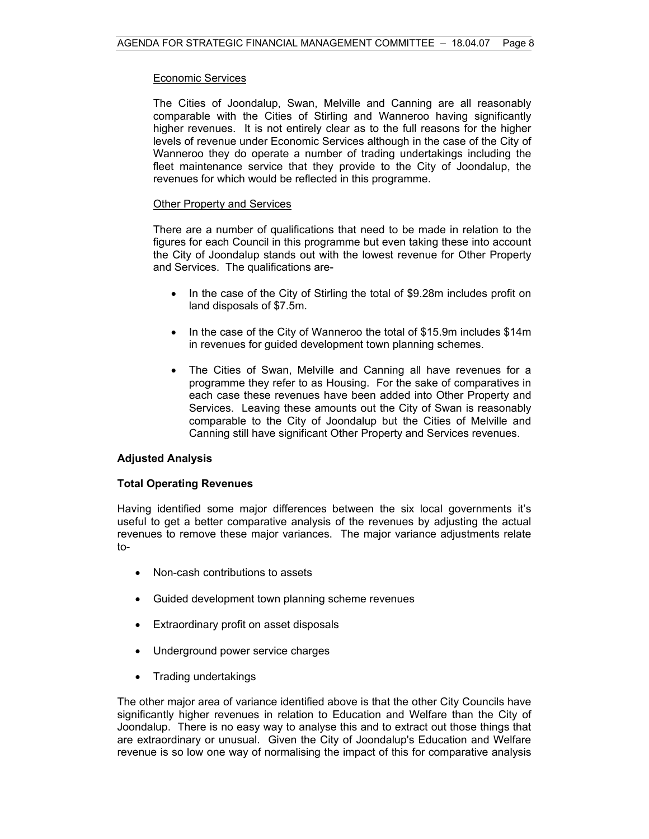#### Economic Services

The Cities of Joondalup, Swan, Melville and Canning are all reasonably comparable with the Cities of Stirling and Wanneroo having significantly higher revenues. It is not entirely clear as to the full reasons for the higher levels of revenue under Economic Services although in the case of the City of Wanneroo they do operate a number of trading undertakings including the fleet maintenance service that they provide to the City of Joondalup, the revenues for which would be reflected in this programme.

#### Other Property and Services

There are a number of qualifications that need to be made in relation to the figures for each Council in this programme but even taking these into account the City of Joondalup stands out with the lowest revenue for Other Property and Services. The qualifications are-

- In the case of the City of Stirling the total of \$9.28m includes profit on land disposals of \$7.5m.
- In the case of the City of Wanneroo the total of \$15.9m includes \$14m in revenues for guided development town planning schemes.
- The Cities of Swan, Melville and Canning all have revenues for a programme they refer to as Housing. For the sake of comparatives in each case these revenues have been added into Other Property and Services. Leaving these amounts out the City of Swan is reasonably comparable to the City of Joondalup but the Cities of Melville and Canning still have significant Other Property and Services revenues.

#### **Adjusted Analysis**

#### **Total Operating Revenues**

Having identified some major differences between the six local governments it's useful to get a better comparative analysis of the revenues by adjusting the actual revenues to remove these major variances. The major variance adjustments relate to-

- Non-cash contributions to assets
- Guided development town planning scheme revenues
- Extraordinary profit on asset disposals
- Underground power service charges
- Trading undertakings

The other major area of variance identified above is that the other City Councils have significantly higher revenues in relation to Education and Welfare than the City of Joondalup. There is no easy way to analyse this and to extract out those things that are extraordinary or unusual. Given the City of Joondalup's Education and Welfare revenue is so low one way of normalising the impact of this for comparative analysis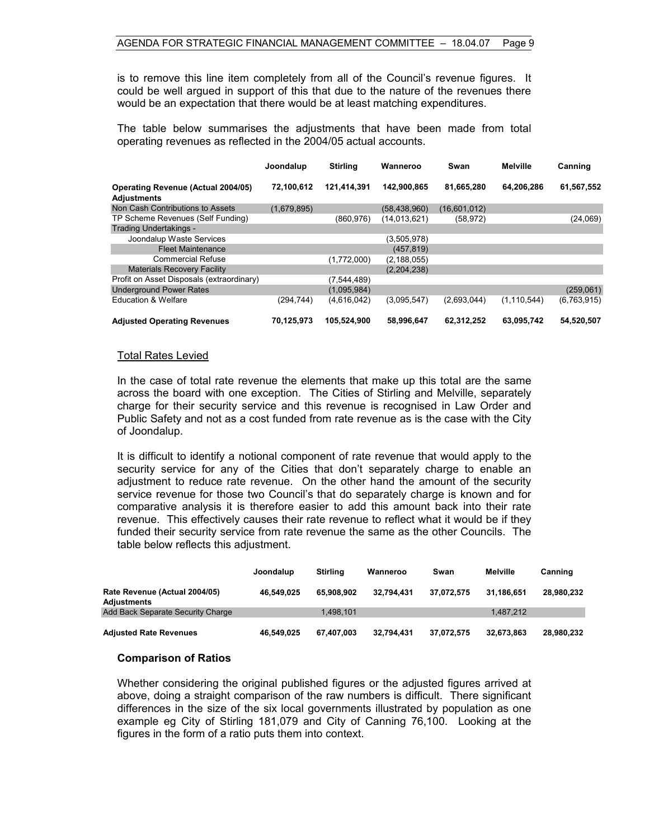is to remove this line item completely from all of the Council's revenue figures. It could be well argued in support of this that due to the nature of the revenues there would be an expectation that there would be at least matching expenditures.

The table below summarises the adjustments that have been made from total operating revenues as reflected in the 2004/05 actual accounts.

|                                                                 | Joondalup   | <b>Stirling</b> | Wanneroo       | Swan         | <b>Melville</b> | Canning     |
|-----------------------------------------------------------------|-------------|-----------------|----------------|--------------|-----------------|-------------|
| <b>Operating Revenue (Actual 2004/05)</b><br><b>Adjustments</b> | 72,100,612  | 121,414,391     | 142,900,865    | 81,665,280   | 64,206,286      | 61,567,552  |
| Non Cash Contributions to Assets                                | (1,679,895) |                 | (58, 438, 960) | (16,601,012) |                 |             |
| TP Scheme Revenues (Self Funding)                               |             | (860, 976)      | (14.013.621)   | (58, 972)    |                 | (24,069)    |
| Trading Undertakings -                                          |             |                 |                |              |                 |             |
| Joondalup Waste Services                                        |             |                 | (3,505,978)    |              |                 |             |
| <b>Fleet Maintenance</b>                                        |             |                 | (457.819)      |              |                 |             |
| <b>Commercial Refuse</b>                                        |             | (1,772,000)     | (2, 188, 055)  |              |                 |             |
| <b>Materials Recovery Facility</b>                              |             |                 | (2,204,238)    |              |                 |             |
| Profit on Asset Disposals (extraordinary)                       |             | (7,544,489)     |                |              |                 |             |
| <b>Underground Power Rates</b>                                  |             | (1,095,984)     |                |              |                 | (259,061)   |
| Education & Welfare                                             | (294,744)   | (4,616,042)     | (3.095.547)    | (2,693,044)  | (1, 110, 544)   | (6,763,915) |
| <b>Adjusted Operating Revenues</b>                              | 70,125,973  | 105,524,900     | 58,996,647     | 62,312,252   | 63,095,742      | 54,520,507  |

#### Total Rates Levied

In the case of total rate revenue the elements that make up this total are the same across the board with one exception. The Cities of Stirling and Melville, separately charge for their security service and this revenue is recognised in Law Order and Public Safety and not as a cost funded from rate revenue as is the case with the City of Joondalup.

It is difficult to identify a notional component of rate revenue that would apply to the security service for any of the Cities that don't separately charge to enable an adjustment to reduce rate revenue. On the other hand the amount of the security service revenue for those two Council's that do separately charge is known and for comparative analysis it is therefore easier to add this amount back into their rate revenue. This effectively causes their rate revenue to reflect what it would be if they funded their security service from rate revenue the same as the other Councils. The table below reflects this adjustment.

|                                              | Joondalup  | <b>Stirling</b> | Wanneroo   | Swan       | <b>Melville</b> | Canning    |
|----------------------------------------------|------------|-----------------|------------|------------|-----------------|------------|
| Rate Revenue (Actual 2004/05)<br>Adjustments | 46.549.025 | 65.908.902      | 32.794.431 | 37.072.575 | 31.186.651      | 28,980,232 |
| Add Back Separate Security Charge            |            | 1.498.101       |            |            | 1.487.212       |            |
| <b>Adjusted Rate Revenues</b>                | 46.549.025 | 67.407.003      | 32.794.431 | 37,072,575 | 32,673,863      | 28,980,232 |

#### **Comparison of Ratios**

Whether considering the original published figures or the adjusted figures arrived at above, doing a straight comparison of the raw numbers is difficult. There significant differences in the size of the six local governments illustrated by population as one example eg City of Stirling 181,079 and City of Canning 76,100. Looking at the figures in the form of a ratio puts them into context.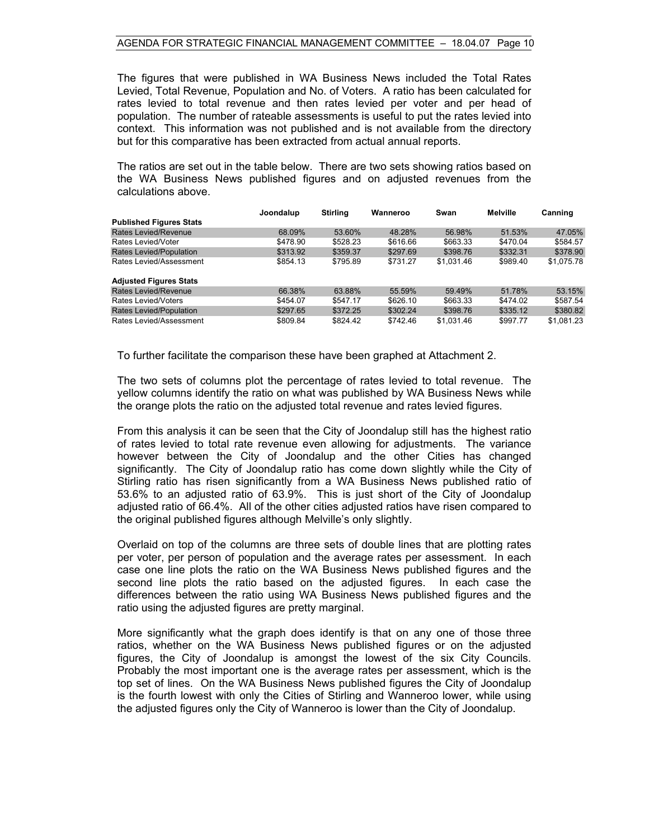The figures that were published in WA Business News included the Total Rates Levied, Total Revenue, Population and No. of Voters. A ratio has been calculated for rates levied to total revenue and then rates levied per voter and per head of population. The number of rateable assessments is useful to put the rates levied into context. This information was not published and is not available from the directory but for this comparative has been extracted from actual annual reports.

The ratios are set out in the table below. There are two sets showing ratios based on the WA Business News published figures and on adjusted revenues from the calculations above.

|                                | Joondalup | <b>Stirling</b> | Wanneroo | Swan       | <b>Melville</b> | Canning    |
|--------------------------------|-----------|-----------------|----------|------------|-----------------|------------|
| <b>Published Figures Stats</b> |           |                 |          |            |                 |            |
| Rates Levied/Revenue           | 68.09%    | 53.60%          | 48.28%   | 56.98%     | 51.53%          | 47.05%     |
| Rates Levied/Voter             | \$478.90  | \$528.23        | \$616.66 | \$663.33   | \$470.04        | \$584.57   |
| Rates Levied/Population        | \$313.92  | \$359.37        | \$297.69 | \$398.76   | \$332.31        | \$378.90   |
| Rates Levied/Assessment        | \$854.13  | \$795.89        | \$731.27 | \$1.031.46 | \$989.40        | \$1,075.78 |
| <b>Adjusted Figures Stats</b>  |           |                 |          |            |                 |            |
| Rates Levied/Revenue           | 66.38%    | 63.88%          | 55.59%   | 59.49%     | 51.78%          | 53.15%     |
| Rates Levied/Voters            | \$454.07  | \$547.17        | \$626.10 | \$663.33   | \$474.02        | \$587.54   |
| Rates Levied/Population        | \$297.65  | \$372.25        | \$302.24 | \$398.76   | \$335.12        | \$380.82   |
| Rates Levied/Assessment        | \$809.84  | \$824.42        | \$742.46 | \$1.031.46 | \$997.77        | \$1.081.23 |

To further facilitate the comparison these have been graphed at Attachment 2.

The two sets of columns plot the percentage of rates levied to total revenue. The yellow columns identify the ratio on what was published by WA Business News while the orange plots the ratio on the adjusted total revenue and rates levied figures.

From this analysis it can be seen that the City of Joondalup still has the highest ratio of rates levied to total rate revenue even allowing for adjustments. The variance however between the City of Joondalup and the other Cities has changed significantly. The City of Joondalup ratio has come down slightly while the City of Stirling ratio has risen significantly from a WA Business News published ratio of 53.6% to an adjusted ratio of 63.9%. This is just short of the City of Joondalup adjusted ratio of 66.4%. All of the other cities adjusted ratios have risen compared to the original published figures although Melville's only slightly.

Overlaid on top of the columns are three sets of double lines that are plotting rates per voter, per person of population and the average rates per assessment. In each case one line plots the ratio on the WA Business News published figures and the second line plots the ratio based on the adjusted figures. In each case the differences between the ratio using WA Business News published figures and the ratio using the adjusted figures are pretty marginal.

More significantly what the graph does identify is that on any one of those three ratios, whether on the WA Business News published figures or on the adjusted figures, the City of Joondalup is amongst the lowest of the six City Councils. Probably the most important one is the average rates per assessment, which is the top set of lines. On the WA Business News published figures the City of Joondalup is the fourth lowest with only the Cities of Stirling and Wanneroo lower, while using the adjusted figures only the City of Wanneroo is lower than the City of Joondalup.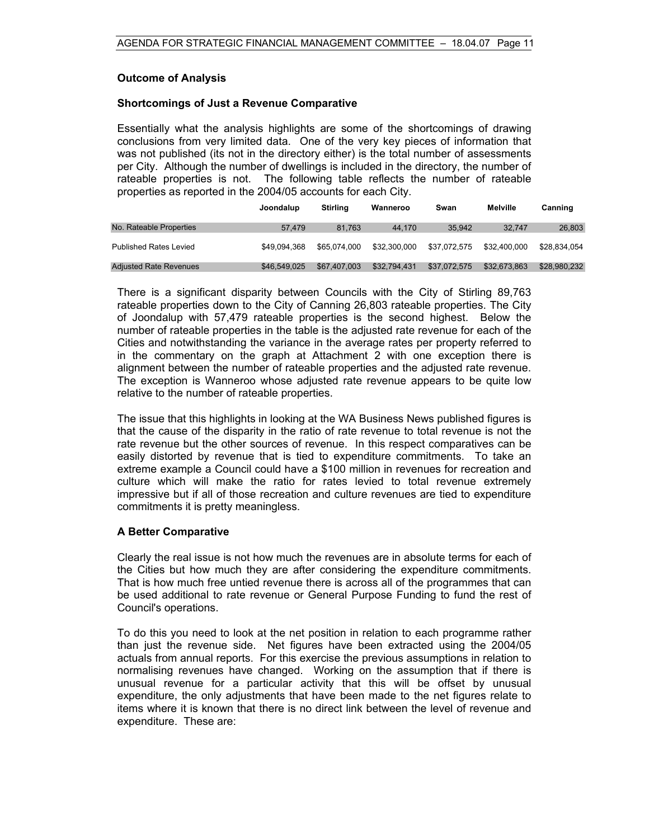#### **Outcome of Analysis**

#### **Shortcomings of Just a Revenue Comparative**

Essentially what the analysis highlights are some of the shortcomings of drawing conclusions from very limited data. One of the very key pieces of information that was not published (its not in the directory either) is the total number of assessments per City. Although the number of dwellings is included in the directory, the number of rateable properties is not. The following table reflects the number of rateable properties as reported in the 2004/05 accounts for each City.

|                               | Joondalup    | Stirling     | Wanneroo     | Swan         | Melville     | Canning      |
|-------------------------------|--------------|--------------|--------------|--------------|--------------|--------------|
| No. Rateable Properties       | 57.479       | 81.763       | 44.170       | 35.942       | 32.747       | 26,803       |
| <b>Published Rates Levied</b> | \$49.094.368 | \$65.074.000 | \$32.300.000 | \$37.072.575 | \$32.400.000 | \$28.834.054 |
| <b>Adjusted Rate Revenues</b> | \$46,549,025 | \$67,407,003 | \$32,794,431 | \$37,072,575 | \$32,673,863 | \$28,980,232 |

There is a significant disparity between Councils with the City of Stirling 89,763 rateable properties down to the City of Canning 26,803 rateable properties. The City of Joondalup with 57,479 rateable properties is the second highest. Below the number of rateable properties in the table is the adjusted rate revenue for each of the Cities and notwithstanding the variance in the average rates per property referred to in the commentary on the graph at Attachment 2 with one exception there is alignment between the number of rateable properties and the adjusted rate revenue. The exception is Wanneroo whose adjusted rate revenue appears to be quite low relative to the number of rateable properties.

The issue that this highlights in looking at the WA Business News published figures is that the cause of the disparity in the ratio of rate revenue to total revenue is not the rate revenue but the other sources of revenue. In this respect comparatives can be easily distorted by revenue that is tied to expenditure commitments. To take an extreme example a Council could have a \$100 million in revenues for recreation and culture which will make the ratio for rates levied to total revenue extremely impressive but if all of those recreation and culture revenues are tied to expenditure commitments it is pretty meaningless.

#### **A Better Comparative**

Clearly the real issue is not how much the revenues are in absolute terms for each of the Cities but how much they are after considering the expenditure commitments. That is how much free untied revenue there is across all of the programmes that can be used additional to rate revenue or General Purpose Funding to fund the rest of Council's operations.

To do this you need to look at the net position in relation to each programme rather than just the revenue side. Net figures have been extracted using the 2004/05 actuals from annual reports. For this exercise the previous assumptions in relation to normalising revenues have changed. Working on the assumption that if there is unusual revenue for a particular activity that this will be offset by unusual expenditure, the only adjustments that have been made to the net figures relate to items where it is known that there is no direct link between the level of revenue and expenditure. These are: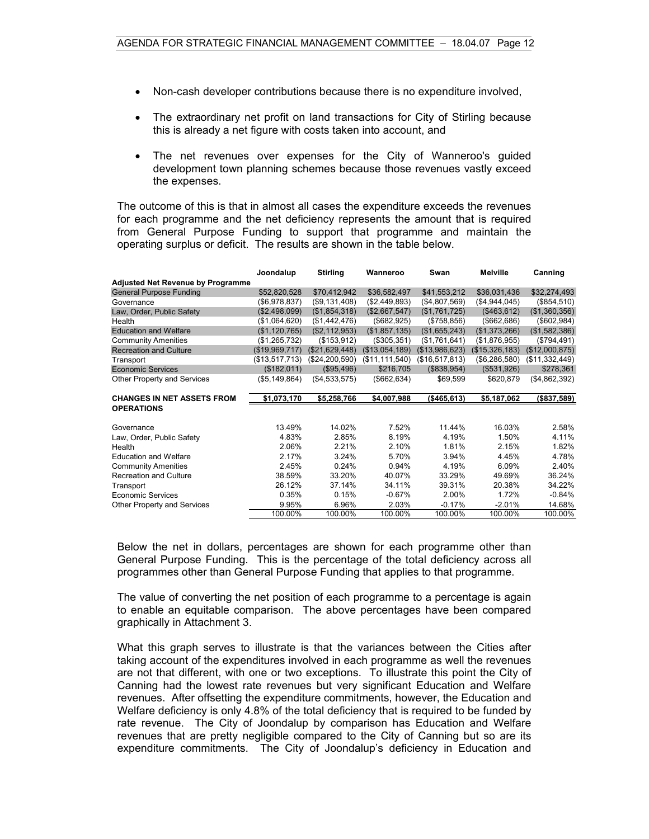- Non-cash developer contributions because there is no expenditure involved,
- The extraordinary net profit on land transactions for City of Stirling because this is already a net figure with costs taken into account, and
- The net revenues over expenses for the City of Wanneroo's guided development town planning schemes because those revenues vastly exceed the expenses.

The outcome of this is that in almost all cases the expenditure exceeds the revenues for each programme and the net deficiency represents the amount that is required from General Purpose Funding to support that programme and maintain the operating surplus or deficit. The results are shown in the table below.

|                                          | Joondalup      | <b>Stirling</b> | Wanneroo       | Swan           | <b>Melville</b> | Canning        |
|------------------------------------------|----------------|-----------------|----------------|----------------|-----------------|----------------|
| <b>Adjusted Net Revenue by Programme</b> |                |                 |                |                |                 |                |
| <b>General Purpose Funding</b>           | \$52,820,528   | \$70,412,942    | \$36,582,497   | \$41,553,212   | \$36,031,436    | \$32,274,493   |
| Governance                               | (\$6,978,837)  | (\$9,131,408)   | (\$2,449,893)  | (\$4,807,569)  | (\$4,944,045)   | (\$854,510)    |
| Law, Order, Public Safety                | (\$2,498,099)  | (\$1,854,318)   | (\$2,667,547)  | (\$1,761,725)  | (\$463,612)     | (\$1,360,356)  |
| Health                                   | (\$1,064,620)  | (\$1,442,476)   | (\$682,925)    | (\$758, 856)   | ( \$662, 686)   | (\$602,984)    |
| <b>Education and Welfare</b>             | (\$1,120,765)  | (\$2,112,953)   | (\$1,857,135)  | (\$1,655,243)  | (\$1,373,266)   | (\$1,582,386)  |
| <b>Community Amenities</b>               | (\$1,265,732)  | (\$153,912)     | (\$305,351)    | (\$1,761,641)  | (\$1,876,955)   | (\$794,491)    |
| <b>Recreation and Culture</b>            | (\$19,969,717) | (\$21,629,448)  | (\$13,054,189) | (\$13,986,623) | (\$15,326,183)  | (\$12,000,875) |
| Transport                                | (\$13,517,713) | (\$24,200,590)  | (\$11,111,540) | (\$16,517,813) | (\$6,286,580)   | (\$11,332,449) |
| <b>Economic Services</b>                 | (\$182,011)    | (\$95,496)      | \$216,705      | (\$838,954)    | (\$531,926)     | \$278,361      |
| Other Property and Services              | (\$5,149,864)  | (\$4,533,575)   | (\$662, 634)   | \$69,599       | \$620,879       | (\$4,862,392)  |
|                                          |                |                 |                |                |                 |                |
|                                          |                |                 |                |                |                 |                |
| <b>CHANGES IN NET ASSETS FROM</b>        | \$1,073,170    | \$5,258,766     | \$4,007,988    | (\$465,613)    | \$5,187,062     | (\$837,589)    |
| <b>OPERATIONS</b>                        |                |                 |                |                |                 |                |
|                                          |                |                 |                |                |                 |                |
| Governance                               | 13.49%         | 14.02%          | 7.52%          | 11.44%         | 16.03%          | 2.58%          |
| Law, Order, Public Safety                | 4.83%          | 2.85%           | 8.19%          | 4.19%          | 1.50%           | 4.11%          |
| Health                                   | 2.06%          | 2.21%           | 2.10%          | 1.81%          | 2.15%           | 1.82%          |
| <b>Education and Welfare</b>             | 2.17%          | 3.24%           | 5.70%          | 3.94%          | 4.45%           | 4.78%          |
| <b>Community Amenities</b>               | 2.45%          | 0.24%           | 0.94%          | 4.19%          | 6.09%           | 2.40%          |
| <b>Recreation and Culture</b>            | 38.59%         | 33.20%          | 40.07%         | 33.29%         | 49.69%          | 36.24%         |
| Transport                                | 26.12%         | 37.14%          | 34.11%         | 39.31%         | 20.38%          | 34.22%         |
| Economic Services                        | 0.35%          | 0.15%           | $-0.67%$       | 2.00%          | 1.72%           | $-0.84%$       |
| Other Property and Services              | 9.95%          | 6.96%           | 2.03%          | $-0.17%$       | $-2.01%$        | 14.68%         |

Below the net in dollars, percentages are shown for each programme other than General Purpose Funding. This is the percentage of the total deficiency across all programmes other than General Purpose Funding that applies to that programme.

The value of converting the net position of each programme to a percentage is again to enable an equitable comparison. The above percentages have been compared graphically in Attachment 3.

What this graph serves to illustrate is that the variances between the Cities after taking account of the expenditures involved in each programme as well the revenues are not that different, with one or two exceptions. To illustrate this point the City of Canning had the lowest rate revenues but very significant Education and Welfare revenues. After offsetting the expenditure commitments, however, the Education and Welfare deficiency is only 4.8% of the total deficiency that is required to be funded by rate revenue. The City of Joondalup by comparison has Education and Welfare revenues that are pretty negligible compared to the City of Canning but so are its expenditure commitments. The City of Joondalup's deficiency in Education and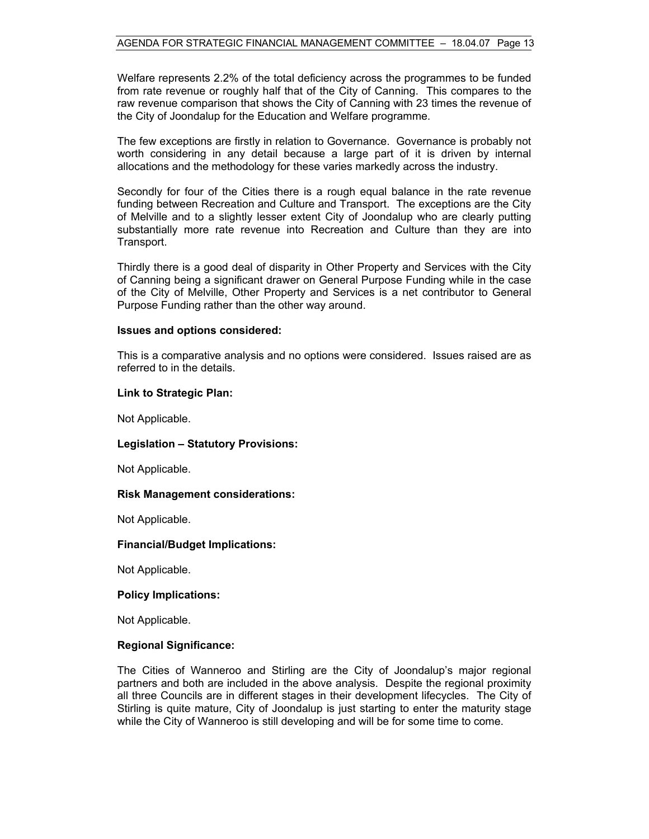Welfare represents 2.2% of the total deficiency across the programmes to be funded from rate revenue or roughly half that of the City of Canning. This compares to the raw revenue comparison that shows the City of Canning with 23 times the revenue of the City of Joondalup for the Education and Welfare programme.

The few exceptions are firstly in relation to Governance. Governance is probably not worth considering in any detail because a large part of it is driven by internal allocations and the methodology for these varies markedly across the industry.

Secondly for four of the Cities there is a rough equal balance in the rate revenue funding between Recreation and Culture and Transport. The exceptions are the City of Melville and to a slightly lesser extent City of Joondalup who are clearly putting substantially more rate revenue into Recreation and Culture than they are into Transport.

Thirdly there is a good deal of disparity in Other Property and Services with the City of Canning being a significant drawer on General Purpose Funding while in the case of the City of Melville, Other Property and Services is a net contributor to General Purpose Funding rather than the other way around.

#### **Issues and options considered:**

This is a comparative analysis and no options were considered. Issues raised are as referred to in the details.

#### **Link to Strategic Plan:**

Not Applicable.

#### **Legislation – Statutory Provisions:**

Not Applicable.

#### **Risk Management considerations:**

Not Applicable.

#### **Financial/Budget Implications:**

Not Applicable.

#### **Policy Implications:**

Not Applicable.

#### **Regional Significance:**

The Cities of Wanneroo and Stirling are the City of Joondalup's major regional partners and both are included in the above analysis. Despite the regional proximity all three Councils are in different stages in their development lifecycles. The City of Stirling is quite mature, City of Joondalup is just starting to enter the maturity stage while the City of Wanneroo is still developing and will be for some time to come.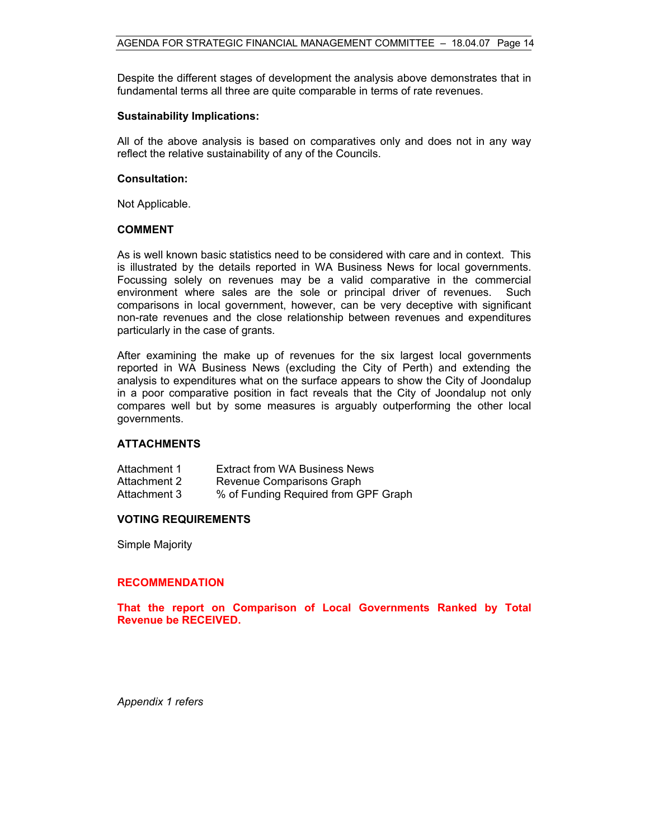Despite the different stages of development the analysis above demonstrates that in fundamental terms all three are quite comparable in terms of rate revenues.

#### **Sustainability Implications:**

All of the above analysis is based on comparatives only and does not in any way reflect the relative sustainability of any of the Councils.

#### **Consultation:**

Not Applicable.

#### **COMMENT**

As is well known basic statistics need to be considered with care and in context. This is illustrated by the details reported in WA Business News for local governments. Focussing solely on revenues may be a valid comparative in the commercial environment where sales are the sole or principal driver of revenues. Such comparisons in local government, however, can be very deceptive with significant non-rate revenues and the close relationship between revenues and expenditures particularly in the case of grants.

After examining the make up of revenues for the six largest local governments reported in WA Business News (excluding the City of Perth) and extending the analysis to expenditures what on the surface appears to show the City of Joondalup in a poor comparative position in fact reveals that the City of Joondalup not only compares well but by some measures is arguably outperforming the other local governments.

#### **ATTACHMENTS**

| Attachment 1 | <b>Extract from WA Business News</b> |
|--------------|--------------------------------------|
| Attachment 2 | Revenue Comparisons Graph            |
| Attachment 3 | % of Funding Required from GPF Graph |

#### **VOTING REQUIREMENTS**

Simple Majority

#### **RECOMMENDATION**

**That the report on Comparison of Local Governments Ranked by Total Revenue be RECEIVED.** 

*Appendix 1 refers*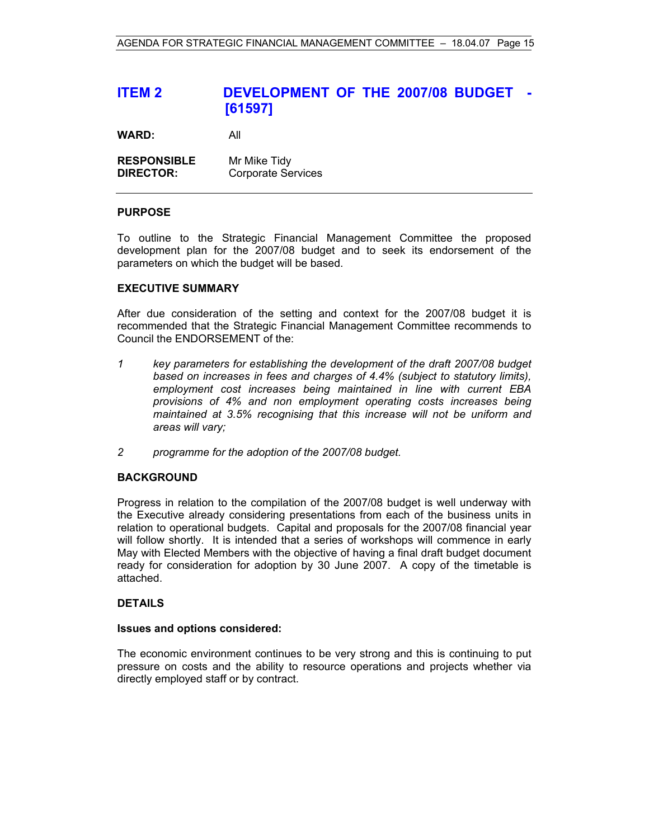## **ITEM 2 DEVELOPMENT OF THE 2007/08 BUDGET - [61597]**

**WARD:** All

**RESPONSIBLE** Mr Mike Tidy **DIRECTOR:** Corporate Services

#### **PURPOSE**

To outline to the Strategic Financial Management Committee the proposed development plan for the 2007/08 budget and to seek its endorsement of the parameters on which the budget will be based.

#### **EXECUTIVE SUMMARY**

After due consideration of the setting and context for the 2007/08 budget it is recommended that the Strategic Financial Management Committee recommends to Council the ENDORSEMENT of the:

- *1 key parameters for establishing the development of the draft 2007/08 budget based on increases in fees and charges of 4.4% (subject to statutory limits), employment cost increases being maintained in line with current EBA provisions of 4% and non employment operating costs increases being maintained at 3.5% recognising that this increase will not be uniform and areas will vary;*
- *2 programme for the adoption of the 2007/08 budget.*

#### **BACKGROUND**

Progress in relation to the compilation of the 2007/08 budget is well underway with the Executive already considering presentations from each of the business units in relation to operational budgets. Capital and proposals for the 2007/08 financial year will follow shortly. It is intended that a series of workshops will commence in early May with Elected Members with the objective of having a final draft budget document ready for consideration for adoption by 30 June 2007. A copy of the timetable is attached.

#### **DETAILS**

#### **Issues and options considered:**

The economic environment continues to be very strong and this is continuing to put pressure on costs and the ability to resource operations and projects whether via directly employed staff or by contract.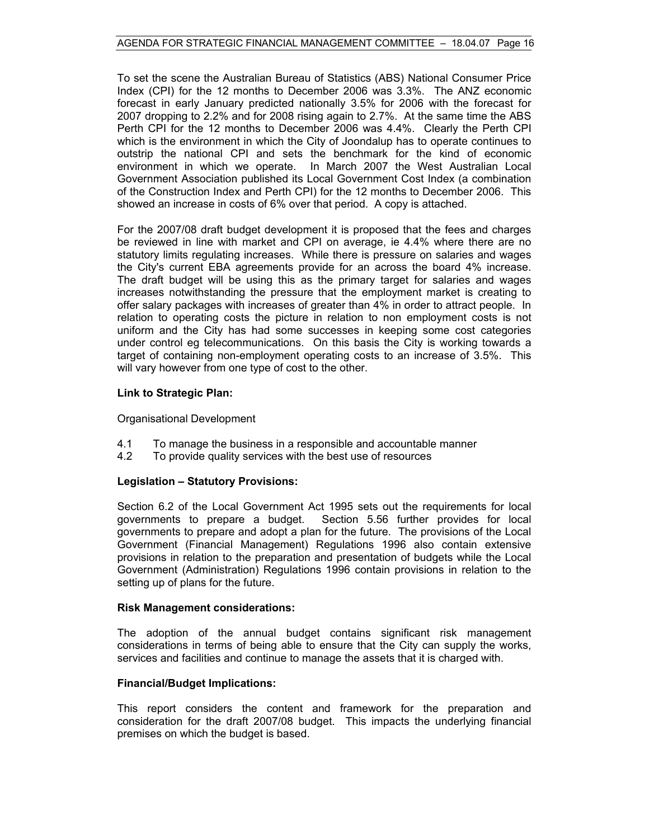To set the scene the Australian Bureau of Statistics (ABS) National Consumer Price Index (CPI) for the 12 months to December 2006 was 3.3%. The ANZ economic forecast in early January predicted nationally 3.5% for 2006 with the forecast for 2007 dropping to 2.2% and for 2008 rising again to 2.7%. At the same time the ABS Perth CPI for the 12 months to December 2006 was 4.4%. Clearly the Perth CPI which is the environment in which the City of Joondalup has to operate continues to outstrip the national CPI and sets the benchmark for the kind of economic environment in which we operate. In March 2007 the West Australian Local Government Association published its Local Government Cost Index (a combination of the Construction Index and Perth CPI) for the 12 months to December 2006. This showed an increase in costs of 6% over that period. A copy is attached.

For the 2007/08 draft budget development it is proposed that the fees and charges be reviewed in line with market and CPI on average, ie 4.4% where there are no statutory limits regulating increases. While there is pressure on salaries and wages the City's current EBA agreements provide for an across the board 4% increase. The draft budget will be using this as the primary target for salaries and wages increases notwithstanding the pressure that the employment market is creating to offer salary packages with increases of greater than 4% in order to attract people. In relation to operating costs the picture in relation to non employment costs is not uniform and the City has had some successes in keeping some cost categories under control eg telecommunications. On this basis the City is working towards a target of containing non-employment operating costs to an increase of 3.5%. This will vary however from one type of cost to the other.

#### **Link to Strategic Plan:**

Organisational Development

- 4.1 To manage the business in a responsible and accountable manner
- 4.2 To provide quality services with the best use of resources

#### **Legislation – Statutory Provisions:**

Section 6.2 of the Local Government Act 1995 sets out the requirements for local governments to prepare a budget. Section 5.56 further provides for local governments to prepare and adopt a plan for the future. The provisions of the Local Government (Financial Management) Regulations 1996 also contain extensive provisions in relation to the preparation and presentation of budgets while the Local Government (Administration) Regulations 1996 contain provisions in relation to the setting up of plans for the future.

#### **Risk Management considerations:**

The adoption of the annual budget contains significant risk management considerations in terms of being able to ensure that the City can supply the works, services and facilities and continue to manage the assets that it is charged with.

#### **Financial/Budget Implications:**

This report considers the content and framework for the preparation and consideration for the draft 2007/08 budget. This impacts the underlying financial premises on which the budget is based.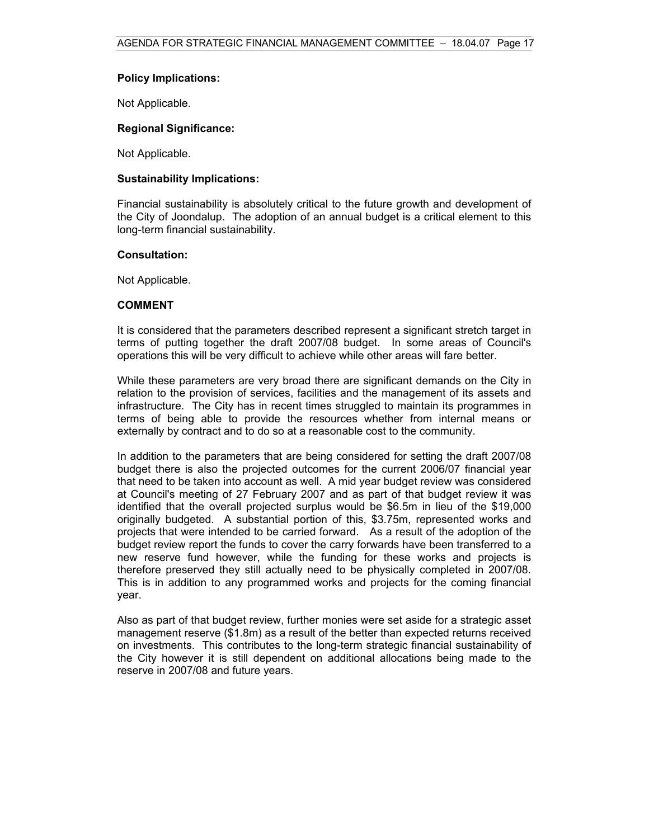#### **Policy Implications:**

Not Applicable.

#### **Regional Significance:**

Not Applicable.

#### **Sustainability Implications:**

Financial sustainability is absolutely critical to the future growth and development of the City of Joondalup. The adoption of an annual budget is a critical element to this long-term financial sustainability.

#### **Consultation:**

Not Applicable.

#### **COMMENT**

It is considered that the parameters described represent a significant stretch target in terms of putting together the draft 2007/08 budget. In some areas of Council's operations this will be very difficult to achieve while other areas will fare better.

While these parameters are very broad there are significant demands on the City in relation to the provision of services, facilities and the management of its assets and infrastructure. The City has in recent times struggled to maintain its programmes in terms of being able to provide the resources whether from internal means or externally by contract and to do so at a reasonable cost to the community.

In addition to the parameters that are being considered for setting the draft 2007/08 budget there is also the projected outcomes for the current 2006/07 financial year that need to be taken into account as well. A mid year budget review was considered at Council's meeting of 27 February 2007 and as part of that budget review it was identified that the overall projected surplus would be \$6.5m in lieu of the \$19,000 originally budgeted. A substantial portion of this, \$3.75m, represented works and projects that were intended to be carried forward. As a result of the adoption of the budget review report the funds to cover the carry forwards have been transferred to a new reserve fund however, while the funding for these works and projects is therefore preserved they still actually need to be physically completed in 2007/08. This is in addition to any programmed works and projects for the coming financial year.

Also as part of that budget review, further monies were set aside for a strategic asset management reserve (\$1.8m) as a result of the better than expected returns received on investments. This contributes to the long-term strategic financial sustainability of the City however it is still dependent on additional allocations being made to the reserve in 2007/08 and future years.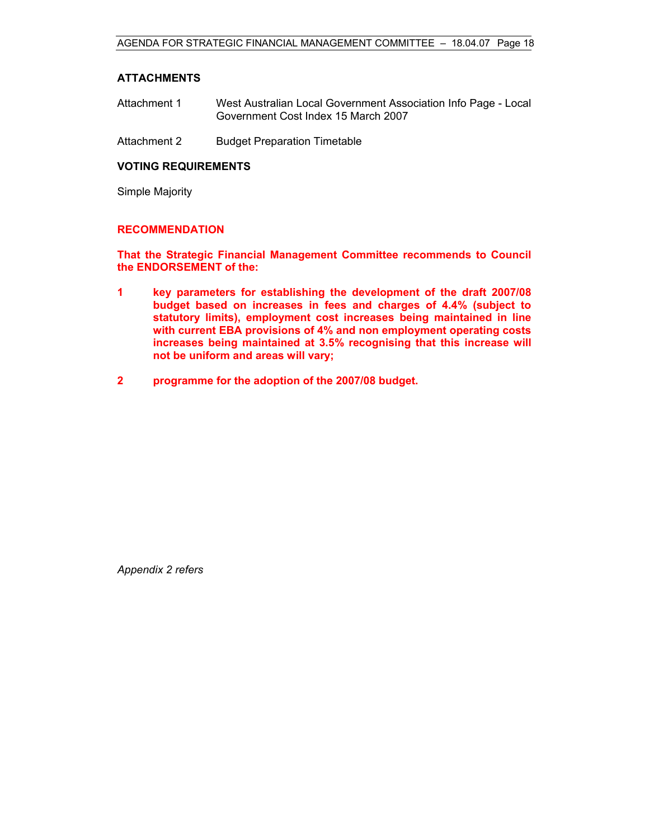#### **ATTACHMENTS**

- Attachment 1 West Australian Local Government Association Info Page Local Government Cost Index 15 March 2007
- Attachment 2 Budget Preparation Timetable

#### **VOTING REQUIREMENTS**

Simple Majority

#### **RECOMMENDATION**

**That the Strategic Financial Management Committee recommends to Council the ENDORSEMENT of the:** 

- **1 key parameters for establishing the development of the draft 2007/08 budget based on increases in fees and charges of 4.4% (subject to statutory limits), employment cost increases being maintained in line with current EBA provisions of 4% and non employment operating costs increases being maintained at 3.5% recognising that this increase will not be uniform and areas will vary;**
- **2 programme for the adoption of the 2007/08 budget.**

*Appendix 2 refers*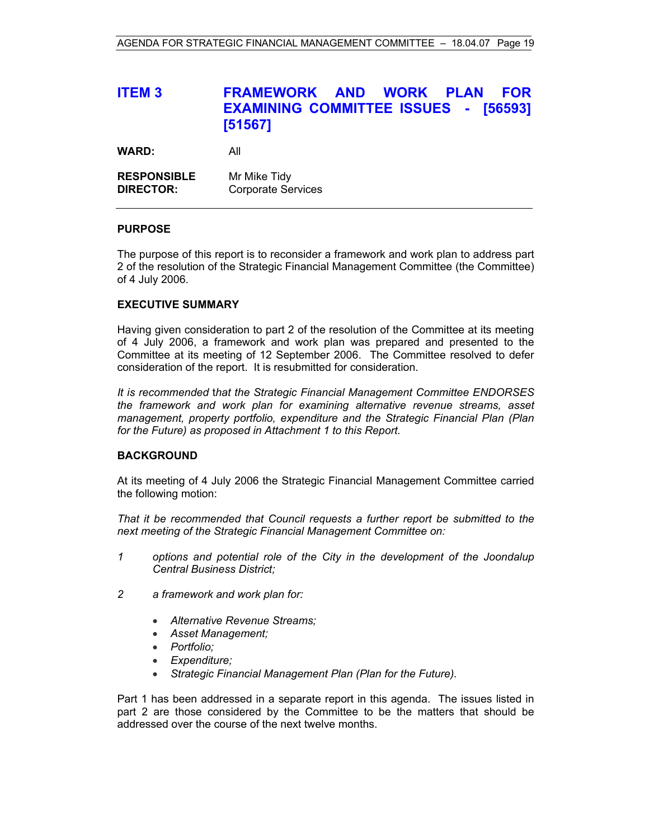# **ITEM 3 FRAMEWORK AND WORK PLAN FOR EXAMINING COMMITTEE ISSUES - [56593] [51567]**

**WARD:** All

| <b>RESPONSIBLE</b> | Mr Mike Tidy              |
|--------------------|---------------------------|
| <b>DIRECTOR:</b>   | <b>Corporate Services</b> |

#### **PURPOSE**

The purpose of this report is to reconsider a framework and work plan to address part 2 of the resolution of the Strategic Financial Management Committee (the Committee) of 4 July 2006.

#### **EXECUTIVE SUMMARY**

Having given consideration to part 2 of the resolution of the Committee at its meeting of 4 July 2006, a framework and work plan was prepared and presented to the Committee at its meeting of 12 September 2006. The Committee resolved to defer consideration of the report. It is resubmitted for consideration.

*It is recommended* t*hat the Strategic Financial Management Committee ENDORSES the framework and work plan for examining alternative revenue streams, asset management, property portfolio, expenditure and the Strategic Financial Plan (Plan for the Future) as proposed in Attachment 1 to this Report.*

#### **BACKGROUND**

At its meeting of 4 July 2006 the Strategic Financial Management Committee carried the following motion:

*That it be recommended that Council requests a further report be submitted to the next meeting of the Strategic Financial Management Committee on:* 

- *1 options and potential role of the City in the development of the Joondalup Central Business District;*
- *2 a framework and work plan for:* 
	- *Alternative Revenue Streams;*
	- *Asset Management;*
	- *Portfolio;*
	- *Expenditure;*
	- *Strategic Financial Management Plan (Plan for the Future).*

Part 1 has been addressed in a separate report in this agenda. The issues listed in part 2 are those considered by the Committee to be the matters that should be addressed over the course of the next twelve months.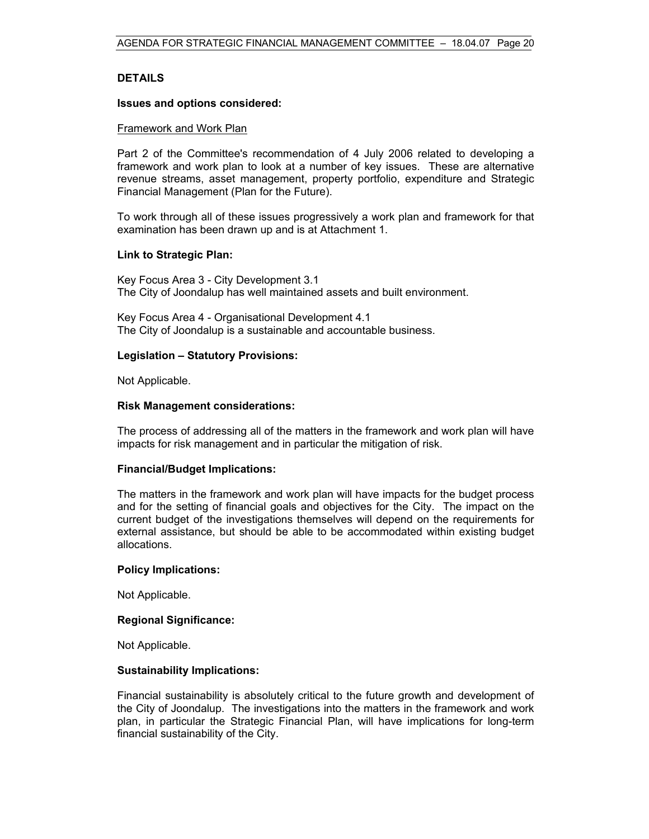#### **DETAILS**

#### **Issues and options considered:**

#### Framework and Work Plan

Part 2 of the Committee's recommendation of 4 July 2006 related to developing a framework and work plan to look at a number of key issues. These are alternative revenue streams, asset management, property portfolio, expenditure and Strategic Financial Management (Plan for the Future).

To work through all of these issues progressively a work plan and framework for that examination has been drawn up and is at Attachment 1.

#### **Link to Strategic Plan:**

Key Focus Area 3 - City Development 3.1 The City of Joondalup has well maintained assets and built environment.

Key Focus Area 4 - Organisational Development 4.1 The City of Joondalup is a sustainable and accountable business.

#### **Legislation – Statutory Provisions:**

Not Applicable.

#### **Risk Management considerations:**

The process of addressing all of the matters in the framework and work plan will have impacts for risk management and in particular the mitigation of risk.

#### **Financial/Budget Implications:**

The matters in the framework and work plan will have impacts for the budget process and for the setting of financial goals and objectives for the City. The impact on the current budget of the investigations themselves will depend on the requirements for external assistance, but should be able to be accommodated within existing budget allocations.

#### **Policy Implications:**

Not Applicable.

#### **Regional Significance:**

Not Applicable.

#### **Sustainability Implications:**

Financial sustainability is absolutely critical to the future growth and development of the City of Joondalup. The investigations into the matters in the framework and work plan, in particular the Strategic Financial Plan, will have implications for long-term financial sustainability of the City.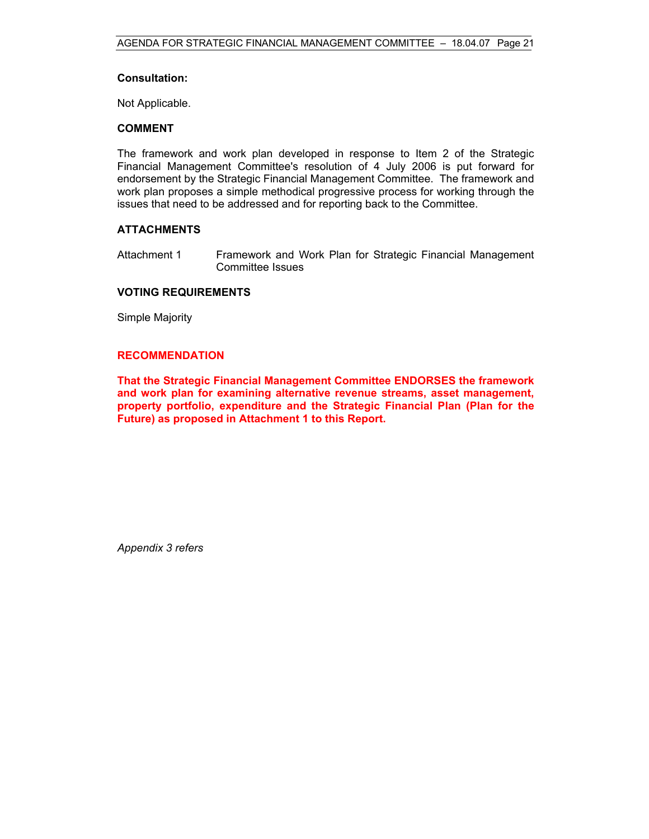#### **Consultation:**

Not Applicable.

#### **COMMENT**

The framework and work plan developed in response to Item 2 of the Strategic Financial Management Committee's resolution of 4 July 2006 is put forward for endorsement by the Strategic Financial Management Committee. The framework and work plan proposes a simple methodical progressive process for working through the issues that need to be addressed and for reporting back to the Committee.

#### **ATTACHMENTS**

Attachment 1 Framework and Work Plan for Strategic Financial Management Committee Issues

#### **VOTING REQUIREMENTS**

Simple Majority

#### **RECOMMENDATION**

**That the Strategic Financial Management Committee ENDORSES the framework and work plan for examining alternative revenue streams, asset management, property portfolio, expenditure and the Strategic Financial Plan (Plan for the Future) as proposed in Attachment 1 to this Report.** 

*Appendix 3 refers*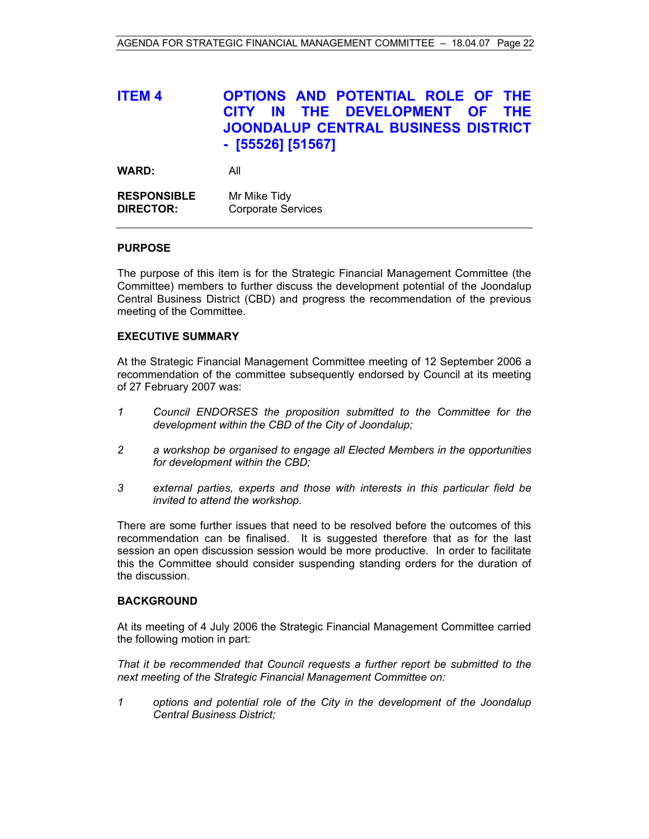# **ITEM 4 OPTIONS AND POTENTIAL ROLE OF THE CITY IN THE DEVELOPMENT OF THE JOONDALUP CENTRAL BUSINESS DISTRICT - [55526] [51567]**

| <b>WARD:</b>       | All                       |
|--------------------|---------------------------|
| <b>RESPONSIBLE</b> | Mr Mike Tidy              |
| <b>DIRECTOR:</b>   | <b>Corporate Services</b> |

#### **PURPOSE**

The purpose of this item is for the Strategic Financial Management Committee (the Committee) members to further discuss the development potential of the Joondalup Central Business District (CBD) and progress the recommendation of the previous meeting of the Committee.

#### **EXECUTIVE SUMMARY**

At the Strategic Financial Management Committee meeting of 12 September 2006 a recommendation of the committee subsequently endorsed by Council at its meeting of 27 February 2007 was:

- *1 Council ENDORSES the proposition submitted to the Committee for the development within the CBD of the City of Joondalup;*
- *2 a workshop be organised to engage all Elected Members in the opportunities for development within the CBD;*
- *3 external parties, experts and those with interests in this particular field be invited to attend the workshop.*

There are some further issues that need to be resolved before the outcomes of this recommendation can be finalised. It is suggested therefore that as for the last session an open discussion session would be more productive. In order to facilitate this the Committee should consider suspending standing orders for the duration of the discussion.

#### **BACKGROUND**

At its meeting of 4 July 2006 the Strategic Financial Management Committee carried the following motion in part:

*That it be recommended that Council requests a further report be submitted to the next meeting of the Strategic Financial Management Committee on:* 

*1 options and potential role of the City in the development of the Joondalup Central Business District;*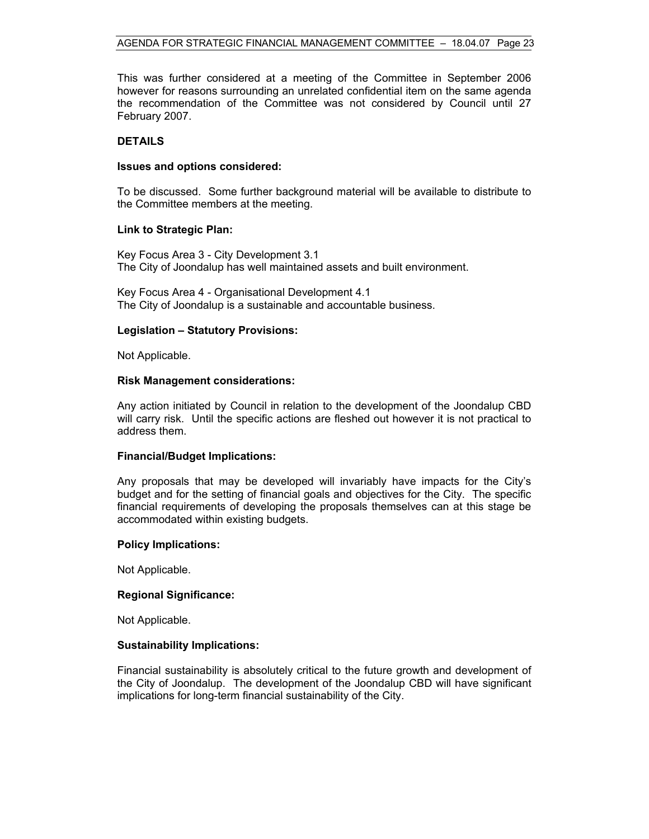This was further considered at a meeting of the Committee in September 2006 however for reasons surrounding an unrelated confidential item on the same agenda the recommendation of the Committee was not considered by Council until 27 February 2007.

#### **DETAILS**

#### **Issues and options considered:**

To be discussed. Some further background material will be available to distribute to the Committee members at the meeting.

#### **Link to Strategic Plan:**

Key Focus Area 3 - City Development 3.1 The City of Joondalup has well maintained assets and built environment.

Key Focus Area 4 - Organisational Development 4.1 The City of Joondalup is a sustainable and accountable business.

#### **Legislation – Statutory Provisions:**

Not Applicable.

#### **Risk Management considerations:**

Any action initiated by Council in relation to the development of the Joondalup CBD will carry risk. Until the specific actions are fleshed out however it is not practical to address them.

#### **Financial/Budget Implications:**

Any proposals that may be developed will invariably have impacts for the City's budget and for the setting of financial goals and objectives for the City. The specific financial requirements of developing the proposals themselves can at this stage be accommodated within existing budgets.

#### **Policy Implications:**

Not Applicable.

#### **Regional Significance:**

Not Applicable.

#### **Sustainability Implications:**

Financial sustainability is absolutely critical to the future growth and development of the City of Joondalup. The development of the Joondalup CBD will have significant implications for long-term financial sustainability of the City.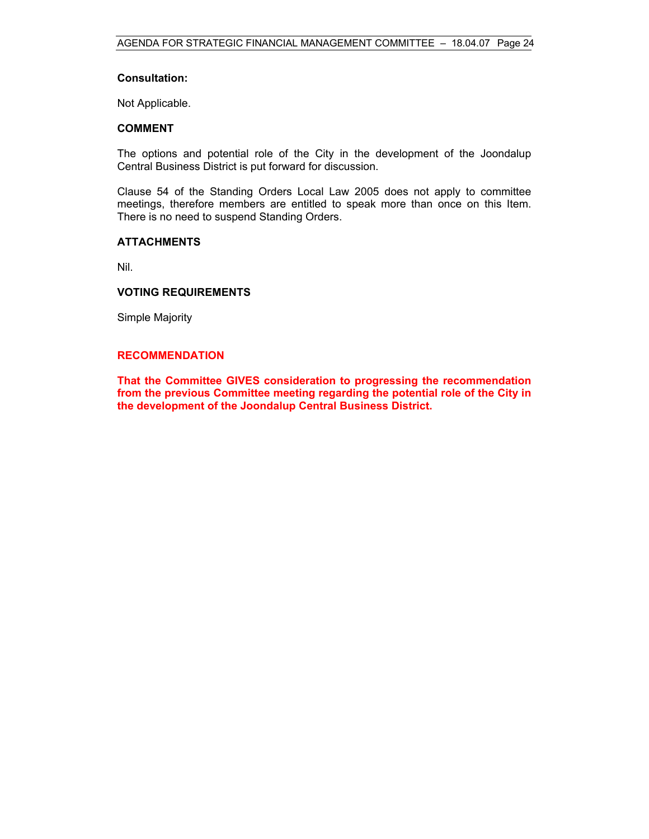#### **Consultation:**

Not Applicable.

#### **COMMENT**

The options and potential role of the City in the development of the Joondalup Central Business District is put forward for discussion.

Clause 54 of the Standing Orders Local Law 2005 does not apply to committee meetings, therefore members are entitled to speak more than once on this Item. There is no need to suspend Standing Orders.

#### **ATTACHMENTS**

Nil.

#### **VOTING REQUIREMENTS**

Simple Majority

#### **RECOMMENDATION**

**That the Committee GIVES consideration to progressing the recommendation from the previous Committee meeting regarding the potential role of the City in the development of the Joondalup Central Business District.**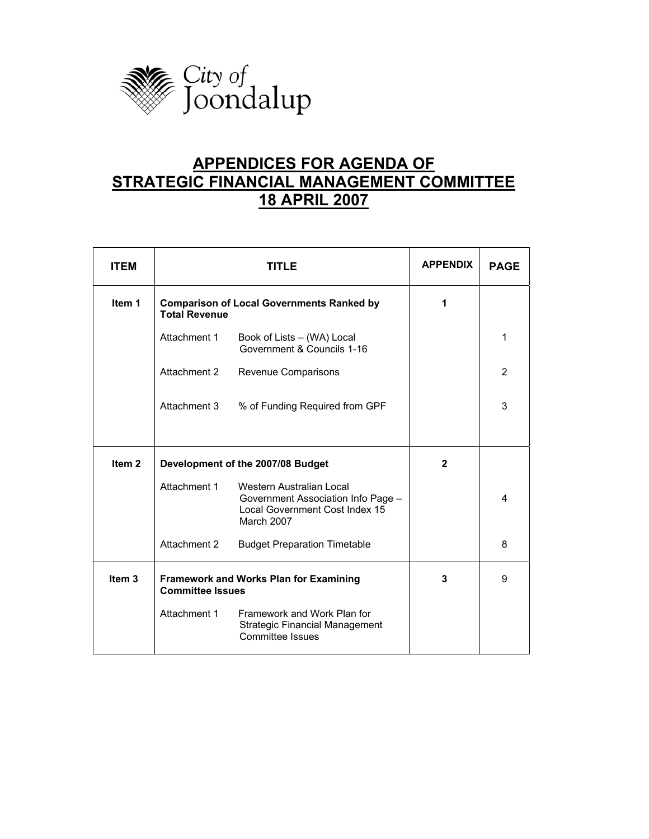

# **APPENDICES FOR AGENDA OF STRATEGIC FINANCIAL MANAGEMENT COMMITTEE 18 APRIL 2007**

| <b>ITEM</b>       |                                                                          | <b>APPENDIX</b>                                                                                                | <b>PAGE</b>  |   |
|-------------------|--------------------------------------------------------------------------|----------------------------------------------------------------------------------------------------------------|--------------|---|
| Item 1            | <b>Total Revenue</b>                                                     | <b>Comparison of Local Governments Ranked by</b>                                                               | 1            |   |
|                   | Attachment 1                                                             | Book of Lists - (WA) Local<br>Government & Councils 1-16                                                       |              | 1 |
|                   | Attachment 2                                                             | Revenue Comparisons                                                                                            |              | 2 |
|                   | Attachment 3                                                             | % of Funding Required from GPF                                                                                 |              | 3 |
|                   |                                                                          |                                                                                                                |              |   |
| Item <sub>2</sub> |                                                                          | Development of the 2007/08 Budget                                                                              | $\mathbf{2}$ |   |
|                   | Attachment 1                                                             | Western Australian Local<br>Government Association Info Page -<br>Local Government Cost Index 15<br>March 2007 |              | 4 |
|                   | Attachment 2                                                             | <b>Budget Preparation Timetable</b>                                                                            |              | 8 |
| Item <sub>3</sub> | <b>Framework and Works Plan for Examining</b><br><b>Committee Issues</b> | 3                                                                                                              | 9            |   |
|                   | Attachment 1                                                             | Framework and Work Plan for<br><b>Strategic Financial Management</b><br><b>Committee Issues</b>                |              |   |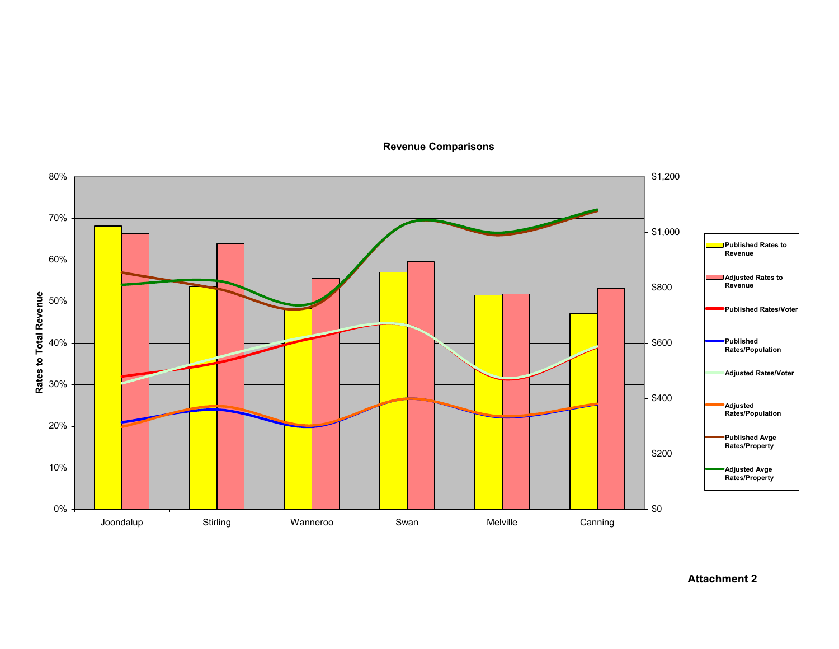

#### **Revenue Comparisons**

**Attachment 2**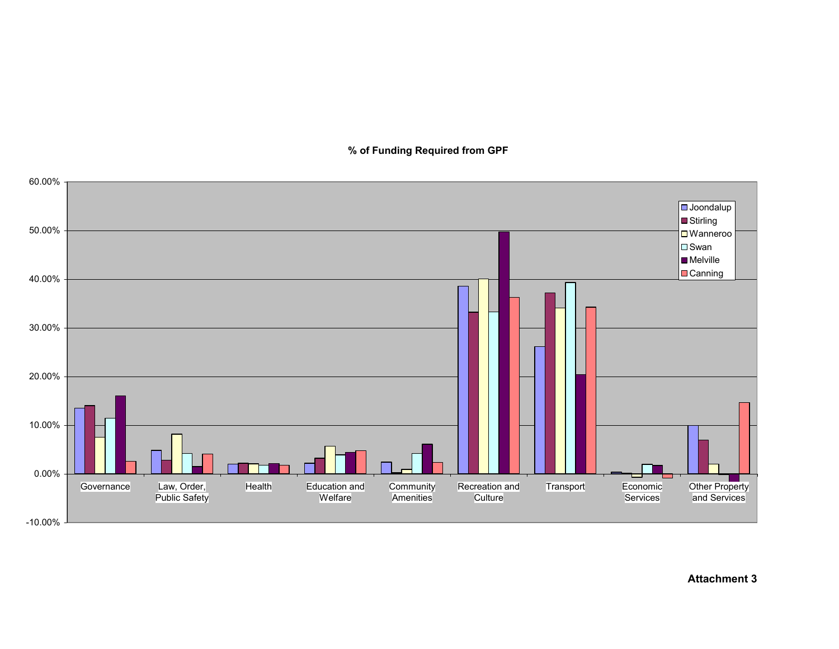## **% of Funding Required from GPF**

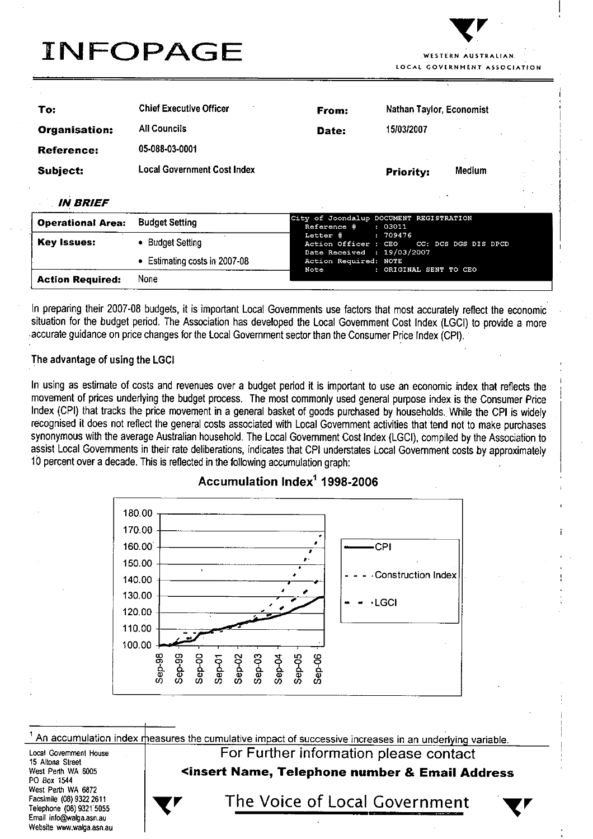# **INFOPAGE**

• Estimating costs in 2007-08

None

**WESTERN AUSTRALIAN** LOCAL GOVERNMENT ASSOCIATION

| To:                      | <b>Chief Executive Officer</b>     | From:                                                        | Nathan Taylor, Economist |                      |  |
|--------------------------|------------------------------------|--------------------------------------------------------------|--------------------------|----------------------|--|
| <b>Organisation:</b>     | <b>All Councils</b>                | Date:                                                        | 15/03/2007               |                      |  |
| Reference:               | 05-088-03-0001                     |                                                              |                          |                      |  |
| Subject:                 | <b>Local Government Cost Index</b> |                                                              | <b>Priority:</b>         | <b>Medium</b>        |  |
| <i><b>IN BRIEF</b></i>   |                                    |                                                              |                          |                      |  |
| <b>Operational Area:</b> | <b>Budget Setting</b>              | City of Joondalup DOCUMENT REGISTRATION<br>Reference #       | : 03011                  |                      |  |
| <b>Key Issues:</b>       | <b>Budget Setting</b><br>٠         | Letter #<br>Action Officer :<br>Date Received : $19/03/2007$ | : 709476<br>CEO          | CC: DCS DGS DIS DPCD |  |

Action Required: NOTE

ORIGINAL SENT TO CEO

In preparing their 2007-08 budgets, it is important Local Governments use factors that most accurately reflect the economic situation for the budget period. The Association has developed the Local Government Cost Index (LGCI) to provide a more accurate quidance on price changes for the Local Government sector than the Consumer Price Index (CPI).

Note

### The advantage of using the LGCI

**Action Required:** 

In using as estimate of costs and revenues over a budget period it is important to use an economic index that reflects the movement of prices underlying the budget process. The most commonly used general purpose index is the Consumer Price Index (CPI) that tracks the price movement in a general basket of goods purchased by households. While the CPI is widely recognised it does not reflect the general costs associated with Local Government activities that tend not to make purchases synonymous with the average Australian household. The Local Government Cost Index (LGCI), compiled by the Association to assist Local Governments in their rate deliberations, indicates that CPI understates Local Government costs by approximately 10 percent over a decade. This is reflected in the following accumulation graph:

# Accumulation Index<sup>1</sup> 1998-2006



An accumulation index measures the cumulative impact of successive increases in an underlying variable. For Further information please contact Local Government House 15 Altona Street <insert Name, Telephone number & Email Address West Perth WA 6005 PO Box 1544 West Perth WA 6872 Facsimile (08) 9322 2611 The Voice of Local Government Telephone (08) 9321 5055 Email info@walga.asn.au Website www.walqa.asn.au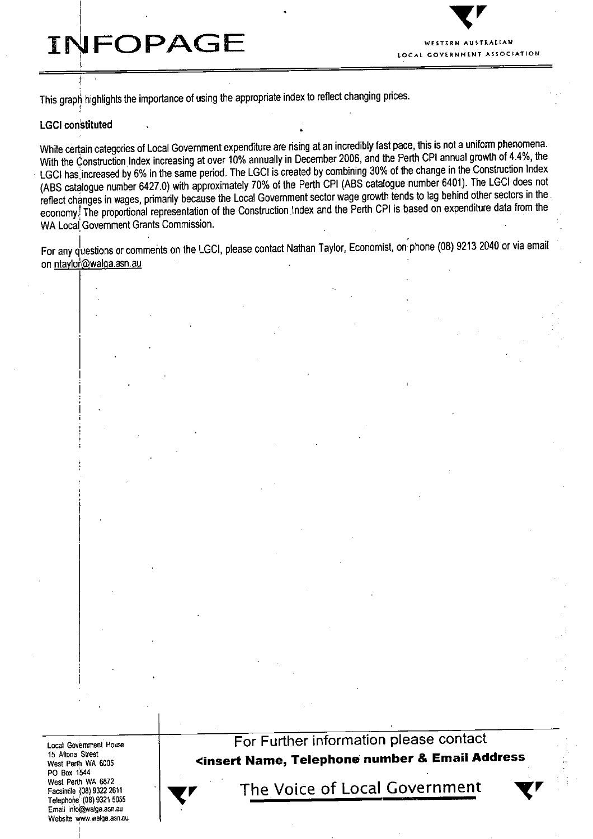# **INFOPAGE**

**LOCAL GOVERNMENT ASSOCIATION** 

This graph highlights the importance of using the appropriate index to reflect changing prices.

### **LGCI constituted**

While certain categories of Local Government expenditure are rising at an incredibly fast pace, this is not a uniform phenomena. With the Construction Index increasing at over 10% annually in December 2006, and the Perth CPI annual growth of 4.4%, the LGCI has increased by 6% in the same period. The LGCI is created by combining 30% of the change in the Construction Index (ABS catalogue number 6427.0) with approximately 70% of the Perth CPI (ABS catalogue number 6401). The LGCI does not reflect changes in wages, primarily because the Local Government sector wage growth tends to lag behind other sectors in the economy. The proportional representation of the Construction Index and the Perth CPI is based on expenditure data from the WA Local Government Grants Commission.

For any questions or comments on the LGCI, please contact Nathan Taylor, Economist, on phone (08) 9213 2040 or via email on ntaylor@walga.asn.au

**Local Government House** 15 Altona Street West Perth WA 6005 PO Box 1544 West Perth WA 6872 Facsimile (08) 9322 2611 Telephone (08) 9321 5055 Email info@walga.asn.au Website www.walga.asn.au



The Voice of Local Government

For Further information please contact

<insert Name, Telephone number & Email Address

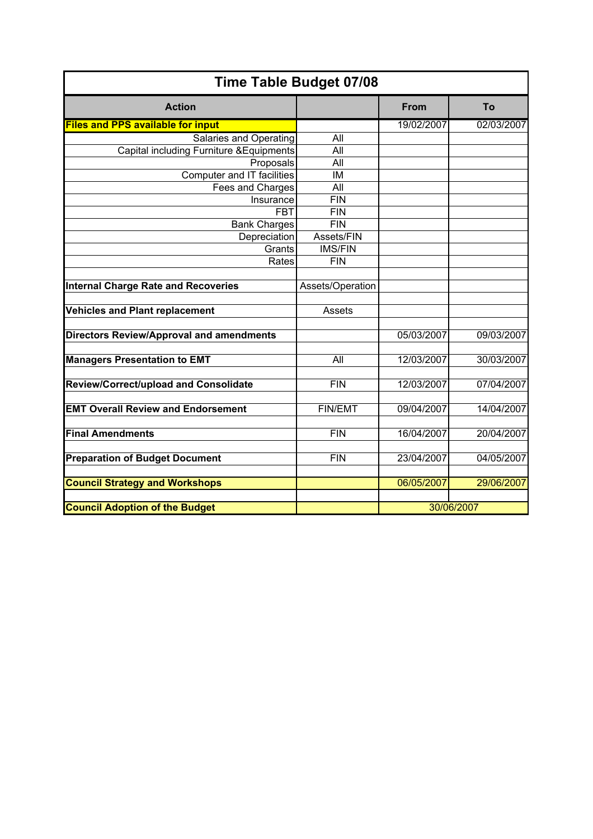| <b>Time Table Budget 07/08</b>                  |                  |             |            |  |  |
|-------------------------------------------------|------------------|-------------|------------|--|--|
| <b>Action</b>                                   |                  | <b>From</b> | To         |  |  |
| <b>Files and PPS available for input</b>        |                  | 19/02/2007  | 02/03/2007 |  |  |
| <b>Salaries and Operating</b>                   | All              |             |            |  |  |
| Capital including Furniture & Equipments        | All              |             |            |  |  |
| Proposals                                       | All              |             |            |  |  |
| Computer and IT facilities                      | IM               |             |            |  |  |
| Fees and Charges                                | All              |             |            |  |  |
| Insurance                                       | <b>FIN</b>       |             |            |  |  |
| <b>FBT</b>                                      | <b>FIN</b>       |             |            |  |  |
| <b>Bank Charges</b>                             | <b>FIN</b>       |             |            |  |  |
| Depreciation                                    | Assets/FIN       |             |            |  |  |
| Grants                                          | <b>IMS/FIN</b>   |             |            |  |  |
| Rates                                           | <b>FIN</b>       |             |            |  |  |
|                                                 |                  |             |            |  |  |
| <b>Internal Charge Rate and Recoveries</b>      | Assets/Operation |             |            |  |  |
|                                                 |                  |             |            |  |  |
| <b>Vehicles and Plant replacement</b>           | <b>Assets</b>    |             |            |  |  |
|                                                 |                  |             |            |  |  |
| <b>Directors Review/Approval and amendments</b> |                  | 05/03/2007  | 09/03/2007 |  |  |
|                                                 |                  |             |            |  |  |
| <b>Managers Presentation to EMT</b>             | All              | 12/03/2007  | 30/03/2007 |  |  |
|                                                 |                  |             |            |  |  |
| Review/Correct/upload and Consolidate           | <b>FIN</b>       | 12/03/2007  | 07/04/2007 |  |  |
|                                                 |                  |             |            |  |  |
| <b>EMT Overall Review and Endorsement</b>       | <b>FIN/EMT</b>   | 09/04/2007  | 14/04/2007 |  |  |
|                                                 |                  |             |            |  |  |
| <b>Final Amendments</b>                         | <b>FIN</b>       | 16/04/2007  | 20/04/2007 |  |  |
|                                                 |                  |             |            |  |  |
| <b>Preparation of Budget Document</b>           | <b>FIN</b>       | 23/04/2007  | 04/05/2007 |  |  |
|                                                 |                  |             |            |  |  |
| <b>Council Strategy and Workshops</b>           |                  | 06/05/2007  | 29/06/2007 |  |  |
|                                                 |                  |             |            |  |  |
| <b>Council Adoption of the Budget</b>           |                  |             | 30/06/2007 |  |  |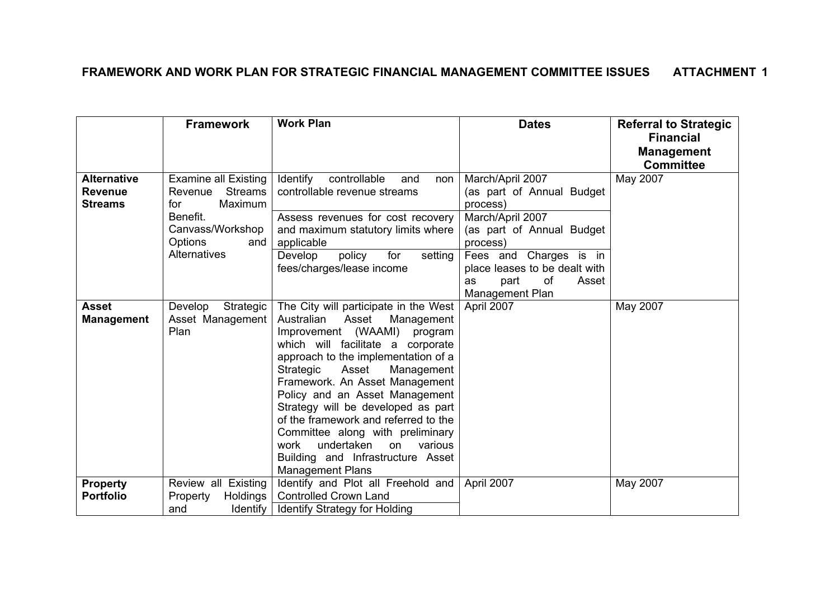## **FRAMEWORK AND WORK PLAN FOR STRATEGIC FINANCIAL MANAGEMENT COMMITTEE ISSUES ATTACHMENT 1**

|                    | <b>Framework</b>            | <b>Work Plan</b>                        | <b>Dates</b>                                            | <b>Referral to Strategic</b> |
|--------------------|-----------------------------|-----------------------------------------|---------------------------------------------------------|------------------------------|
|                    |                             |                                         |                                                         | <b>Financial</b>             |
|                    |                             |                                         |                                                         | <b>Management</b>            |
|                    |                             |                                         |                                                         | <b>Committee</b>             |
| <b>Alternative</b> | <b>Examine all Existing</b> | Identify<br>controllable<br>and<br>non  | March/April 2007                                        | May 2007                     |
| <b>Revenue</b>     | <b>Streams</b><br>Revenue   | controllable revenue streams            | (as part of Annual Budget                               |                              |
| <b>Streams</b>     | Maximum<br>for              |                                         | process)                                                |                              |
|                    | Benefit.                    | Assess revenues for cost recovery       | March/April 2007                                        |                              |
|                    | Canvass/Workshop<br>Options | and maximum statutory limits where      | (as part of Annual Budget                               |                              |
|                    | and<br>Alternatives         | applicable<br>setting<br>Develop<br>for | process)                                                |                              |
|                    |                             | policy<br>fees/charges/lease income     | Fees and Charges is in<br>place leases to be dealt with |                              |
|                    |                             |                                         | part<br>of<br>Asset<br><b>as</b>                        |                              |
|                    |                             |                                         | Management Plan                                         |                              |
| <b>Asset</b>       | Strategic<br>Develop        | The City will participate in the West   | April 2007                                              | May 2007                     |
| Management         | Asset Management            | Australian<br>Asset<br>Management       |                                                         |                              |
|                    | Plan                        | (WAAMI)<br>Improvement<br>program       |                                                         |                              |
|                    |                             | which will facilitate a corporate       |                                                         |                              |
|                    |                             | approach to the implementation of a     |                                                         |                              |
|                    |                             | Strategic<br>Asset<br>Management        |                                                         |                              |
|                    |                             | Framework. An Asset Management          |                                                         |                              |
|                    |                             | Policy and an Asset Management          |                                                         |                              |
|                    |                             | Strategy will be developed as part      |                                                         |                              |
|                    |                             | of the framework and referred to the    |                                                         |                              |
|                    |                             | Committee along with preliminary        |                                                         |                              |
|                    |                             | undertaken<br>work<br>on<br>various     |                                                         |                              |
|                    |                             | Building and Infrastructure Asset       |                                                         |                              |
|                    |                             | <b>Management Plans</b>                 |                                                         |                              |
| <b>Property</b>    | Review all Existing         | Identify and Plot all Freehold and      | April 2007                                              | May 2007                     |
| <b>Portfolio</b>   | Property<br>Holdings        | <b>Controlled Crown Land</b>            |                                                         |                              |
|                    | Identify<br>and             | <b>Identify Strategy for Holding</b>    |                                                         |                              |